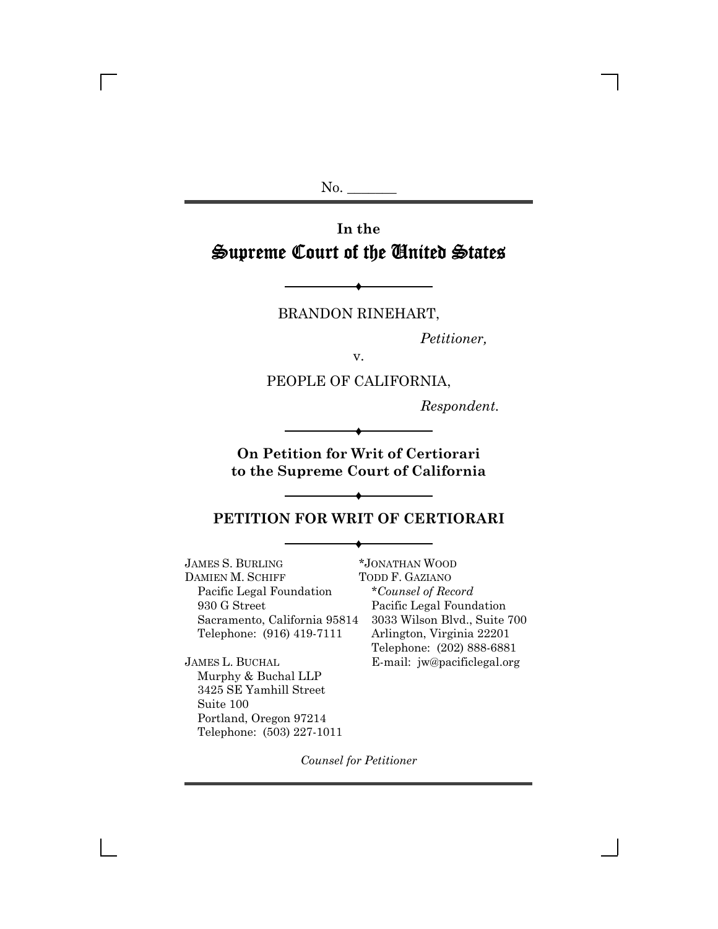$No.$ 

# **In the** Supreme Court of the United States

BRANDON RINEHART,

 $\blacklozenge$ 

*Petitioner,*

v.

PEOPLE OF CALIFORNIA,

*Respondent.*

**On Petition for Writ of Certiorari to the Supreme Court of California**

 $\blacklozenge$ 

# $\blacklozenge$ **PETITION FOR WRIT OF CERTIORARI**

 $\blacklozenge$ 

JAMES S. BURLING DAMIEN M. SCHIFF Pacific Legal Foundation 930 G Street Sacramento, California 95814 Telephone: (916) 419-7111

\**Counsel of Record* Pacific Legal Foundation 3033 Wilson Blvd., Suite 700 Arlington, Virginia 22201 Telephone: (202) 888-6881 E-mail: jw@pacificlegal.org

\*JONATHAN WOOD TODD F. GAZIANO

JAMES L. BUCHAL Murphy & Buchal LLP 3425 SE Yamhill Street Suite 100 Portland, Oregon 97214 Telephone: (503) 227-1011

*Counsel for Petitioner*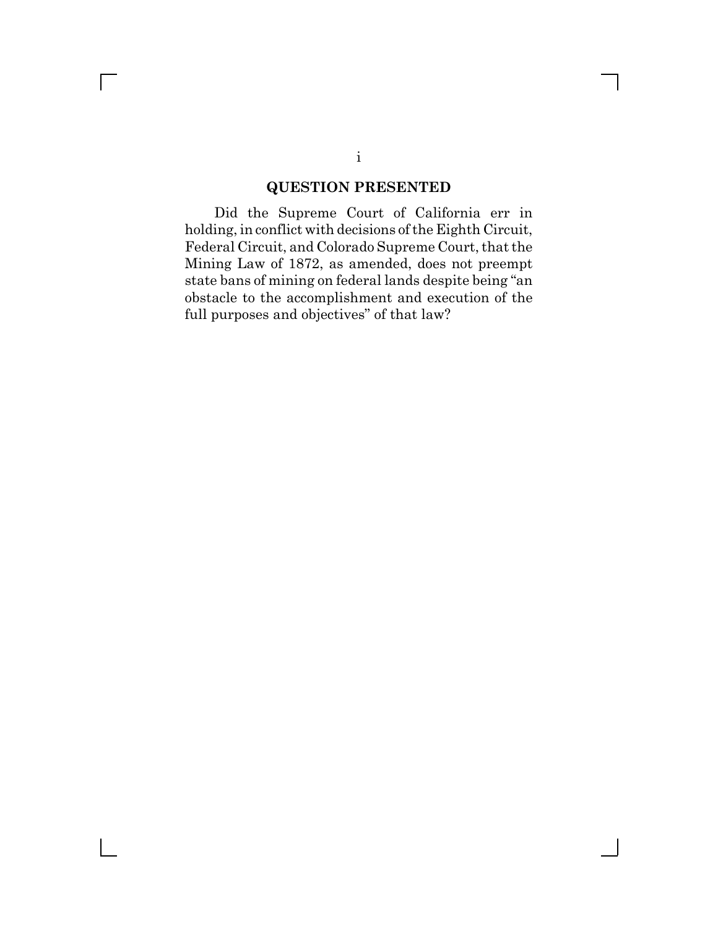## **QUESTION PRESENTED**

Did the Supreme Court of California err in holding, in conflict with decisions of the Eighth Circuit, Federal Circuit, and Colorado Supreme Court, that the Mining Law of 1872, as amended, does not preempt state bans of mining on federal lands despite being "an obstacle to the accomplishment and execution of the full purposes and objectives" of that law?

 $\Box$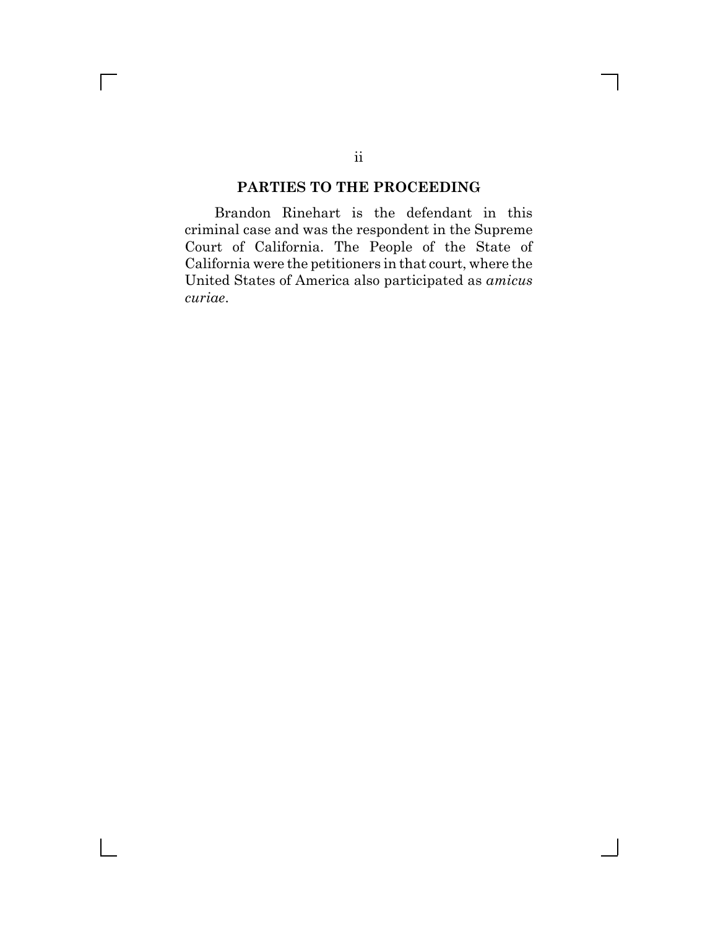### **PARTIES TO THE PROCEEDING**

Brandon Rinehart is the defendant in this criminal case and was the respondent in the Supreme Court of California. The People of the State of California were the petitioners in that court, where the United States of America also participated as *amicus curiae*.

 $\Box$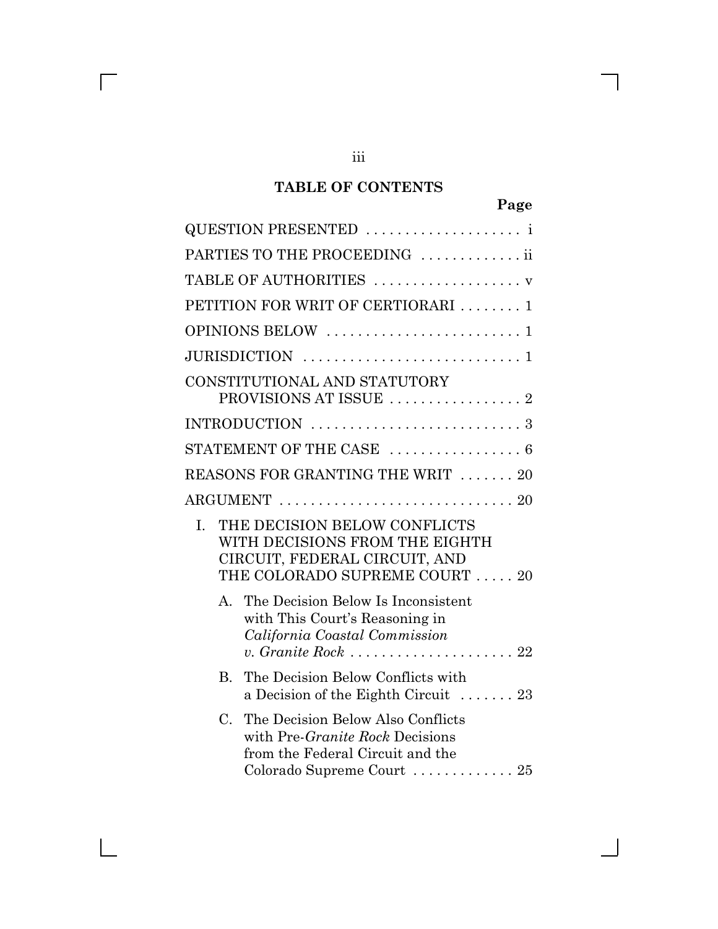# **TABLE OF CONTENTS**

|             | QUESTION PRESENTED  i                                                                                                                                               |
|-------------|---------------------------------------------------------------------------------------------------------------------------------------------------------------------|
|             | PARTIES TO THE PROCEEDING ii                                                                                                                                        |
|             | TABLE OF AUTHORITIES  v                                                                                                                                             |
|             | PETITION FOR WRIT OF CERTIORARI  1                                                                                                                                  |
|             |                                                                                                                                                                     |
|             |                                                                                                                                                                     |
|             | CONSTITUTIONAL AND STATUTORY<br>PROVISIONS AT ISSUE  2                                                                                                              |
|             |                                                                                                                                                                     |
|             | STATEMENT OF THE CASE  6                                                                                                                                            |
|             | REASONS FOR GRANTING THE WRIT  20                                                                                                                                   |
|             |                                                                                                                                                                     |
| L.          | THE DECISION BELOW CONFLICTS<br>WITH DECISIONS FROM THE EIGHTH<br>CIRCUIT, FEDERAL CIRCUIT, AND<br>THE COLORADO SUPREME COURT  20                                   |
| $A_{-}$     | The Decision Below Is Inconsistent<br>with This Court's Reasoning in<br>California Coastal Commission                                                               |
| $B_{\cdot}$ | The Decision Below Conflicts with<br>a Decision of the Eighth Circuit $\ldots$ 23                                                                                   |
| $C_{\cdot}$ | The Decision Below Also Conflicts<br>with Pre-Granite Rock Decisions<br>from the Federal Circuit and the<br>Colorado Supreme Court $\ldots \ldots \ldots \ldots 25$ |

iii

 $\overline{\Gamma}$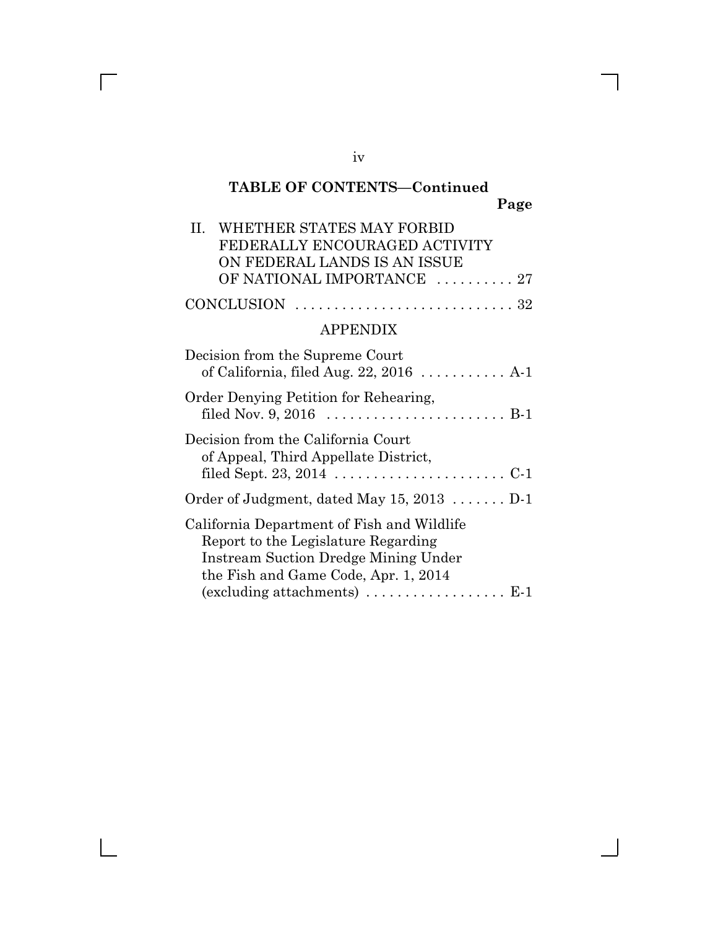# **TABLE OF CONTENTS—Continued Page**

| II. WHETHER STATES MAY FORBID                                               |
|-----------------------------------------------------------------------------|
| FEDERALLY ENCOURAGED ACTIVITY                                               |
| ON FEDERAL LANDS IS AN ISSUE                                                |
| OF NATIONAL IMPORTANCE  27                                                  |
| $CONCLUSION \dots \dots \dots \dots \dots \dots \dots \dots \dots \dots 32$ |

## APPENDIX

| Decision from the Supreme Court<br>of California, filed Aug. $22, 2016$ A-1                                                                                                                                                                     |
|-------------------------------------------------------------------------------------------------------------------------------------------------------------------------------------------------------------------------------------------------|
| Order Denying Petition for Rehearing,                                                                                                                                                                                                           |
| Decision from the California Court<br>of Appeal, Third Appellate District,                                                                                                                                                                      |
| Order of Judgment, dated May $15, 2013$ D-1                                                                                                                                                                                                     |
| California Department of Fish and Wildlife<br>Report to the Legislature Regarding<br><b>Instream Suction Dredge Mining Under</b><br>the Fish and Game Code, Apr. 1, 2014<br>$(excluding attachments) \dots \dots \dots \dots \dots \dots \dots$ |
|                                                                                                                                                                                                                                                 |

iv

 $\overline{\Gamma}$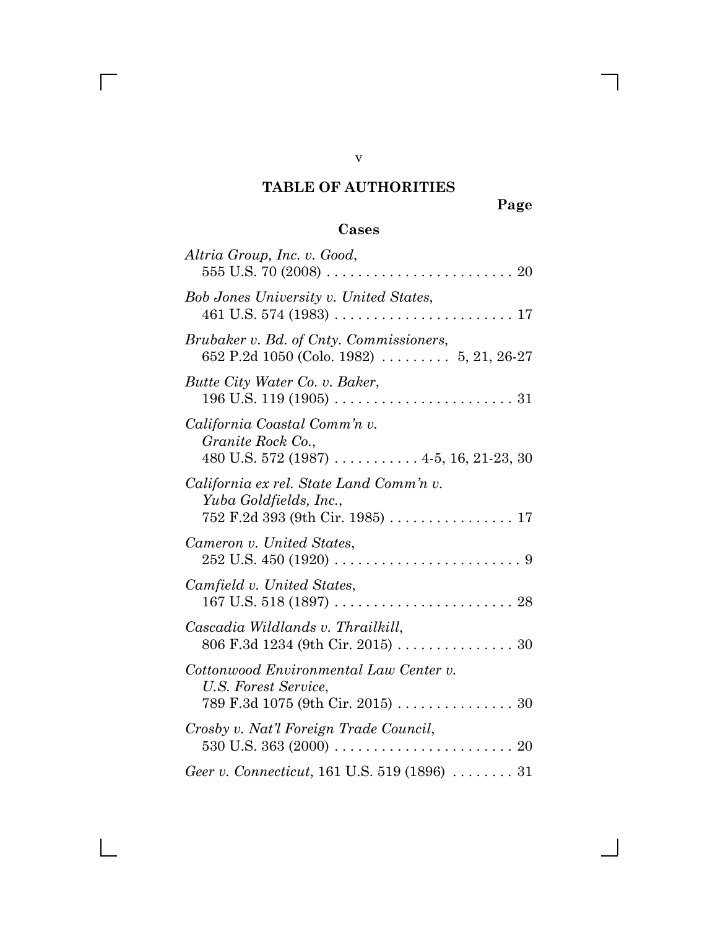# **TABLE OF AUTHORITIES**

**Page**

# **Cases**

| Altria Group, Inc. v. Good,                                                                          |
|------------------------------------------------------------------------------------------------------|
| <b>Bob Jones University v. United States,</b>                                                        |
| Brubaker v. Bd. of Cnty. Commissioners,<br>652 P.2d 1050 (Colo. 1982)  5, 21, 26-27                  |
| Butte City Water Co. v. Baker,                                                                       |
| California Coastal Comm'n v.<br>Granite Rock Co.,<br>$480$ U.S. 572 (1987)  4-5, 16, 21-23, 30       |
| California ex rel. State Land Comm'n v.<br>Yuba Goldfields, Inc.,<br>752 F.2d 393 (9th Cir. 1985) 17 |
| Cameron v. United States,                                                                            |
| Camfield v. United States,                                                                           |
| Cascadia Wildlands v. Thrailkill,<br>806 F.3d 1234 (9th Cir. 2015) 30                                |
| Cottonwood Environmental Law Center v.<br>U.S. Forest Service,                                       |
| Crosby v. Nat'l Foreign Trade Council,                                                               |
| Geer v. Connecticut, 161 U.S. 519 (1896)  31                                                         |

v

 $\overline{\Gamma}$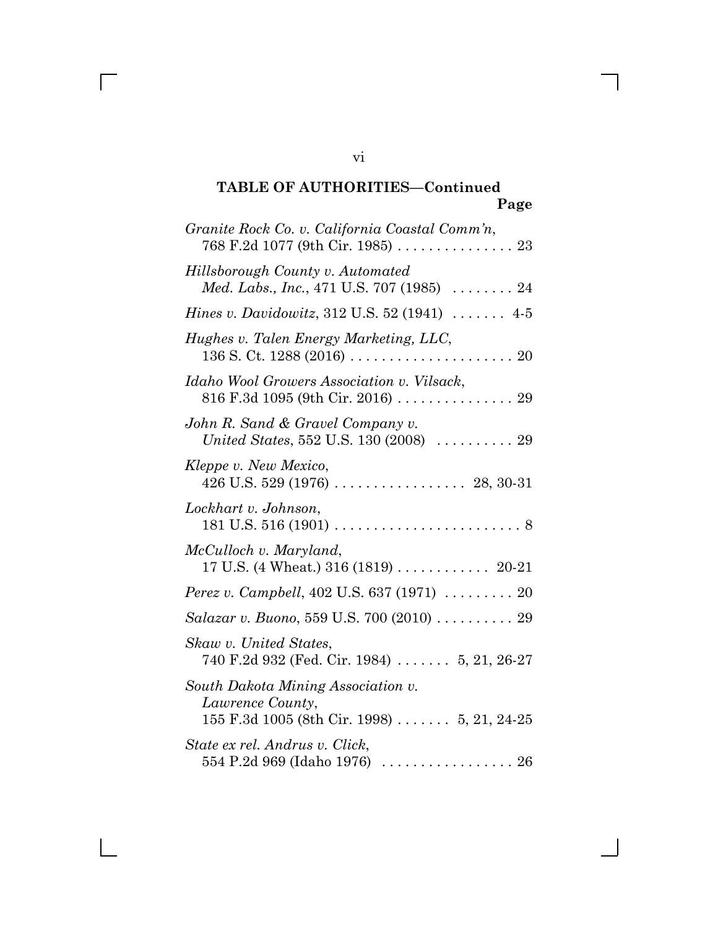| Granite Rock Co. v. California Coastal Comm'n,                                                                |
|---------------------------------------------------------------------------------------------------------------|
| Hillsborough County v. Automated<br>Med. Labs., Inc., 471 U.S. 707 (1985)  24                                 |
| <i>Hines v. Davidowitz</i> , 312 U.S. 52 (1941)  4-5                                                          |
| Hughes v. Talen Energy Marketing, LLC,                                                                        |
| Idaho Wool Growers Association v. Vilsack,<br>816 F.3d 1095 (9th Cir. 2016)  29                               |
| John R. Sand & Gravel Company v.<br><i>United States,</i> 552 U.S. 130 (2008) $\ldots \ldots \ldots 29$       |
| Kleppe v. New Mexico,                                                                                         |
| Lockhart v. Johnson,                                                                                          |
| McCulloch v. Maryland,                                                                                        |
| Perez v. Campbell, 402 U.S. 637 (1971)  20                                                                    |
| Salazar v. Buono, 559 U.S. 700 (2010) 29                                                                      |
| Skaw v. United States,<br>740 F.2d 932 (Fed. Cir. 1984)  5, 21, 26-27                                         |
| South Dakota Mining Association v.<br>Lawrence County,<br>155 F.3d 1005 (8th Cir. 1998) $\ldots$ 5, 21, 24-25 |
| State ex rel. Andrus v. Click,                                                                                |

vi

 $\overline{\Gamma}$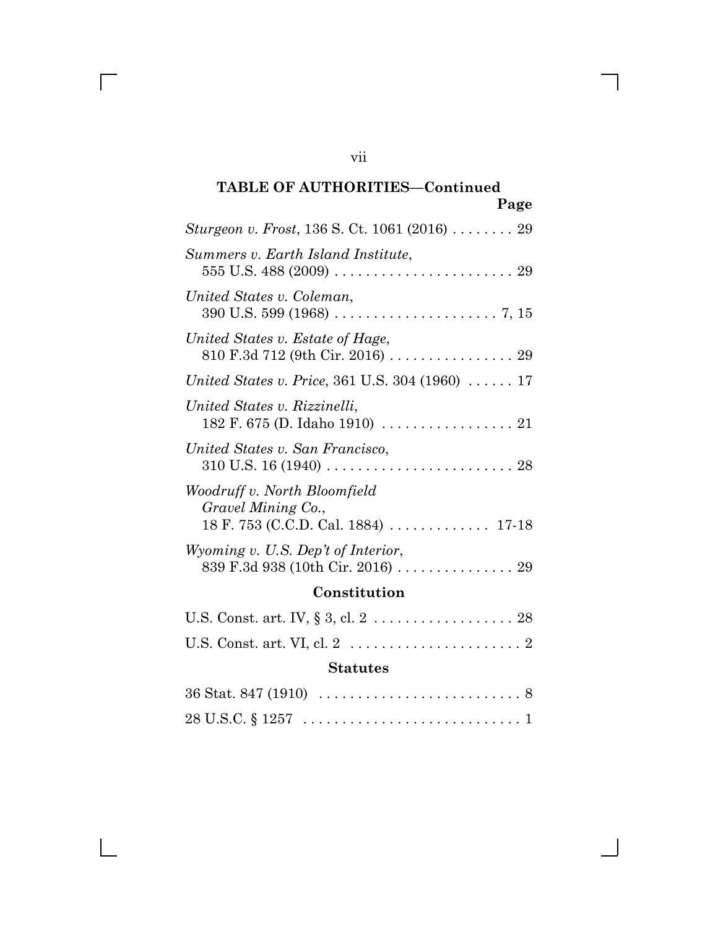| Sturgeon v. Frost, 136 S. Ct. 1061 (2016)  29                                                                          |
|------------------------------------------------------------------------------------------------------------------------|
| Summers v. Earth Island Institute,                                                                                     |
| United States v. Coleman,                                                                                              |
| United States v. Estate of Hage,<br>810 F.3d 712 (9th Cir. 2016) 29                                                    |
| <i>United States v. Price, 361 U.S. 304 (1960)  17</i>                                                                 |
| United States v. Rizzinelli,<br>182 F. 675 (D. Idaho 1910) $\ldots \ldots \ldots \ldots \ldots 21$                     |
| United States v. San Francisco,                                                                                        |
| Woodruff v. North Bloomfield<br>Gravel Mining Co.,<br>18 F. 753 (C.C.D. Cal. 1884) $\ldots \ldots \ldots \ldots 17-18$ |
| Wyoming v. U.S. Dep't of Interior,<br>839 F.3d 938 (10th Cir. 2016)  29                                                |
| Constitution                                                                                                           |

# U.S. Const. art. IV, § 3, cl. 2 . . . . . . . . . . . . . . . . . . 28 U.S. Const. art. VI, cl. 2 . . . . . . . . . . . . . . . . . . . . . . 2

## **Statutes**

| $36 \text{ Stat. } 847 \,(1910) \,\, \ldots \ldots \ldots \ldots \ldots \ldots \ldots \ldots \, 8$ |  |  |  |  |  |
|----------------------------------------------------------------------------------------------------|--|--|--|--|--|
|                                                                                                    |  |  |  |  |  |

vii

 $\overline{\Gamma}$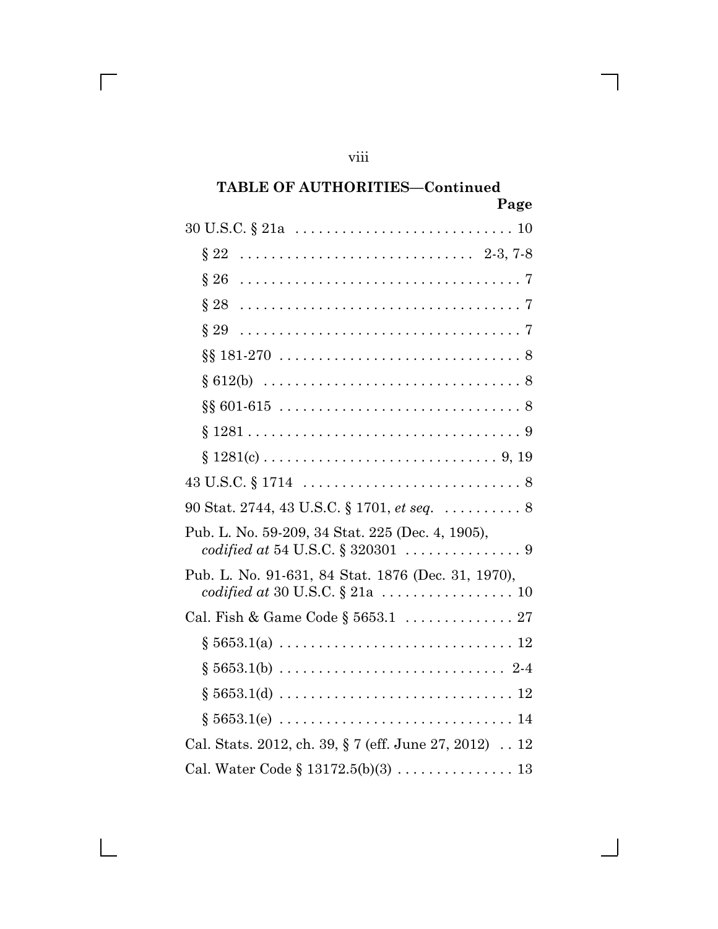| 90 Stat. 2744, 43 U.S.C. § 1701, <i>et seq</i> 8      |
|-------------------------------------------------------|
| Pub. L. No. 59-209, 34 Stat. 225 (Dec. 4, 1905),      |
| Pub. L. No. 91-631, 84 Stat. 1876 (Dec. 31, 1970),    |
| Cal. Fish & Game Code § 5653.1  27                    |
|                                                       |
|                                                       |
|                                                       |
|                                                       |
| Cal. Stats. 2012, ch. 39, § 7 (eff. June 27, 2012) 12 |
|                                                       |

viii

 $\overline{\Gamma}$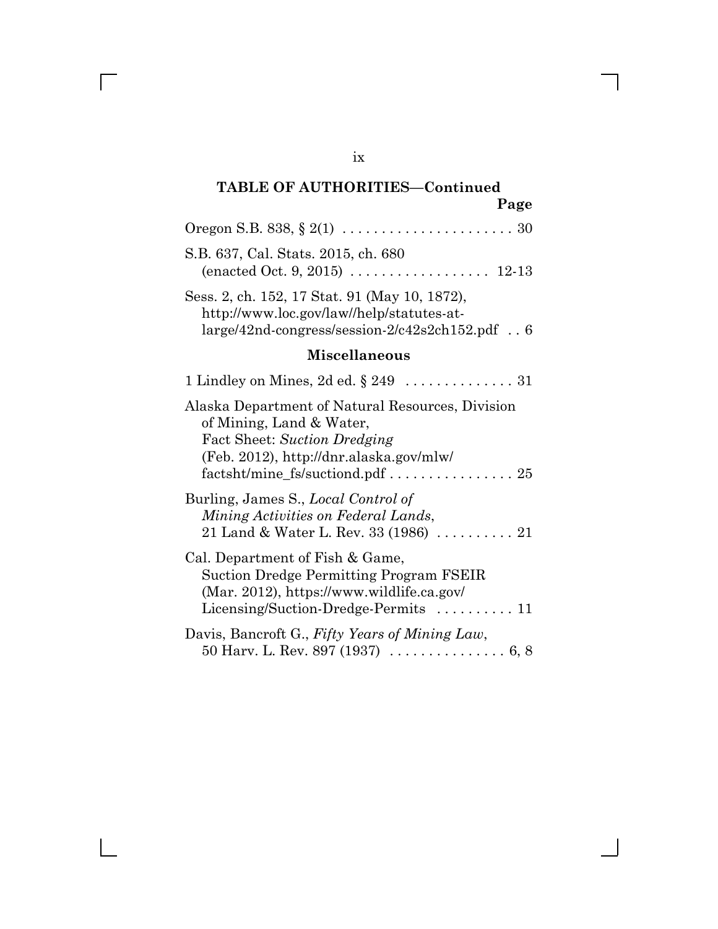| S.B. 637, Cal. Stats. 2015, ch. 680                                                                                                                                                        |
|--------------------------------------------------------------------------------------------------------------------------------------------------------------------------------------------|
| Sess. 2, ch. 152, 17 Stat. 91 (May 10, 1872),<br>http://www.loc.gov/law//help/statutes-at-<br>$large/42nd$ -congress/session- $2/c42s2ch152.pdf$ . 6                                       |
| <b>Miscellaneous</b>                                                                                                                                                                       |
|                                                                                                                                                                                            |
| Alaska Department of Natural Resources, Division<br>of Mining, Land & Water,<br>Fact Sheet: Suction Dredging<br>(Feb. 2012), http://dnr.alaska.gov/mlw/<br>factsht/mine_fs/suctiond.pdf 25 |
| Burling, James S., Local Control of<br>Mining Activities on Federal Lands,<br>21 Land & Water L. Rev. 33 (1986) $\ldots \ldots \ldots 21$                                                  |
| Cal. Department of Fish & Game,<br><b>Suction Dredge Permitting Program FSEIR</b><br>(Mar. 2012), https://www.wildlife.ca.gov/<br>Licensing/Suction-Dredge-Permits $\dots \dots \dots 11$  |
| Davis, Bancroft G., Fifty Years of Mining Law,                                                                                                                                             |

ix

 $\overline{\Gamma}$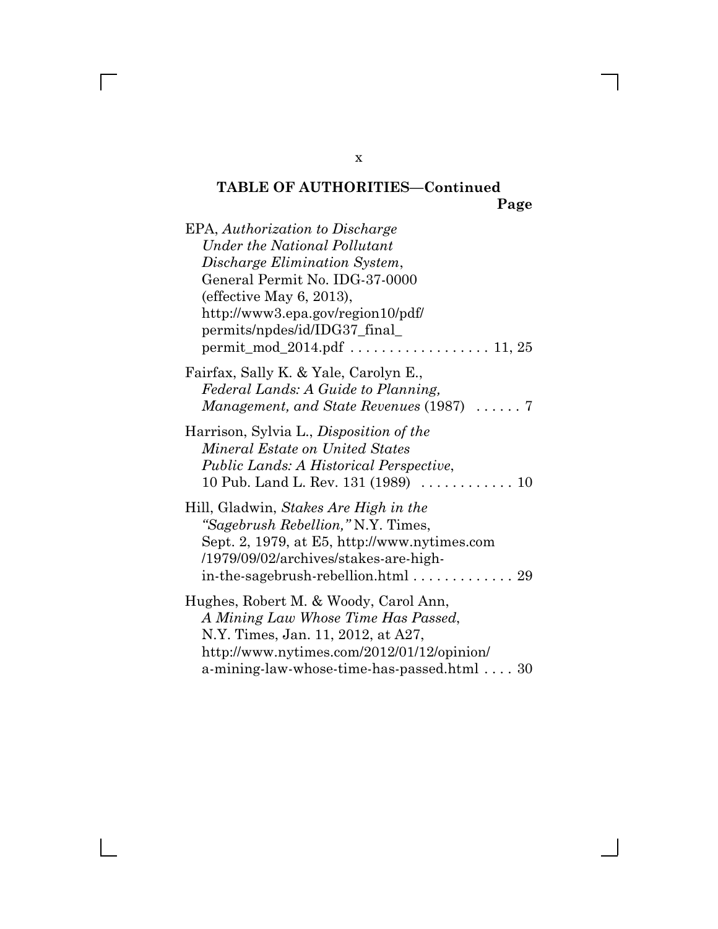| EPA, Authorization to Discharge<br>Under the National Pollutant<br>Discharge Elimination System,<br>General Permit No. IDG-37-0000<br>(effective May 6, 2013),<br>http://www3.epa.gov/region10/pdf/<br>permits/npdes/id/IDG37_final_     |
|------------------------------------------------------------------------------------------------------------------------------------------------------------------------------------------------------------------------------------------|
| Fairfax, Sally K. & Yale, Carolyn E.,<br>Federal Lands: A Guide to Planning,<br>Management, and State Revenues (1987)  7                                                                                                                 |
| Harrison, Sylvia L., Disposition of the<br>Mineral Estate on United States<br><i>Public Lands: A Historical Perspective,</i><br>10 Pub. Land L. Rev. 131 $(1989)$ 10                                                                     |
| Hill, Gladwin, Stakes Are High in the<br>"Sagebrush Rebellion," N.Y. Times,<br>Sept. 2, 1979, at E5, http://www.nytimes.com<br>/1979/09/02/archives/stakes-are-high-<br>in-the-sagebrush-rebellion.html $\ldots \ldots \ldots \ldots$ 29 |
| Hughes, Robert M. & Woody, Carol Ann,<br>A Mining Law Whose Time Has Passed,<br>N.Y. Times, Jan. 11, 2012, at A27,<br>http://www.nytimes.com/2012/01/12/opinion/<br>a-mining-law-whose-time-has-passed.html  30                          |

x

 $\overline{\Gamma}$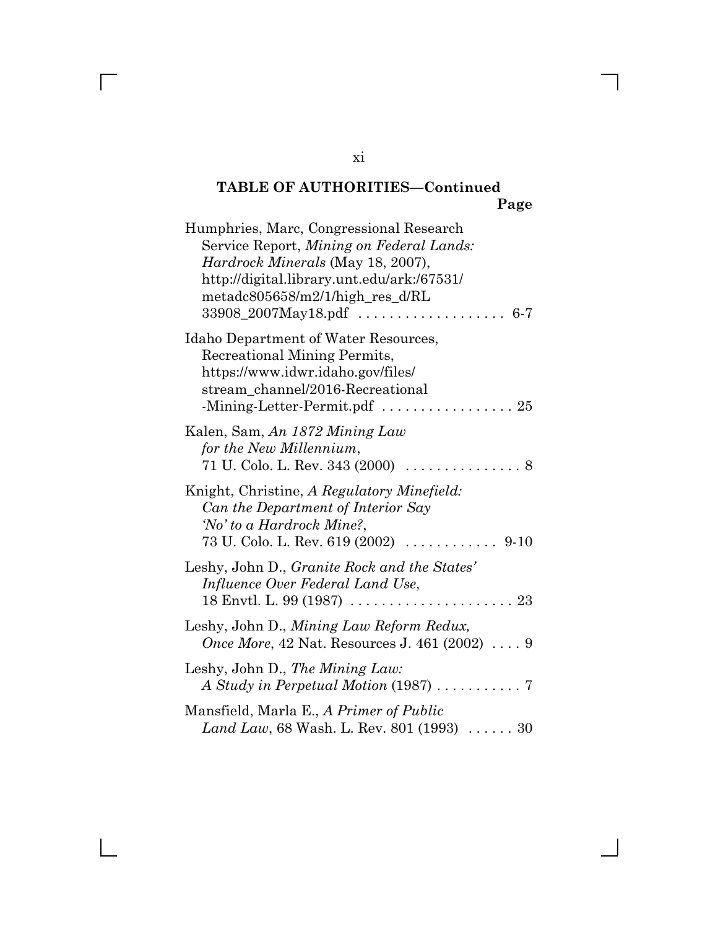| Humphries, Marc, Congressional Research<br>Service Report, Mining on Federal Lands:<br><i>Hardrock Minerals</i> (May 18, 2007),<br>http://digital.library.unt.edu/ark:/67531/<br>$metadc805658/m2/1/high_res_d/RL$<br>$33908\_2007$ May18.pdf<br>$6-7$ |
|--------------------------------------------------------------------------------------------------------------------------------------------------------------------------------------------------------------------------------------------------------|
| Idaho Department of Water Resources,<br>Recreational Mining Permits,<br>https://www.idwr.idaho.gov/files/<br>stream_channel/2016-Recreational<br>-Mining-Letter-Permit.pdf $\ldots \ldots \ldots \ldots \ldots 25$                                     |
| Kalen, Sam, An 1872 Mining Law<br>for the New Millennium,<br>71 U. Colo. L. Rev. 343 (2000)<br>. 8                                                                                                                                                     |
| Knight, Christine, A Regulatory Minefield:<br>Can the Department of Interior Say<br>'No' to a Hardrock Mine?,<br>73 U. Colo. L. Rev. 619 (2002)<br>. 9-10                                                                                              |
| Leshy, John D., Granite Rock and the States'<br>Influence Over Federal Land Use,<br>18 Envtl. L. 99 (1987) $\ldots \ldots \ldots \ldots \ldots \ldots \ldots \ldots$                                                                                   |
| Leshy, John D., Mining Law Reform Redux,<br><i>Once More</i> , 42 Nat. Resources J. 461 (2002) $\ldots$ 9                                                                                                                                              |
| Leshy, John D., The Mining Law:                                                                                                                                                                                                                        |
| Mansfield, Marla E., A Primer of Public<br>Land Law, 68 Wash. L. Rev. 801 (1993)  30                                                                                                                                                                   |

xi

 $\overline{\Gamma}$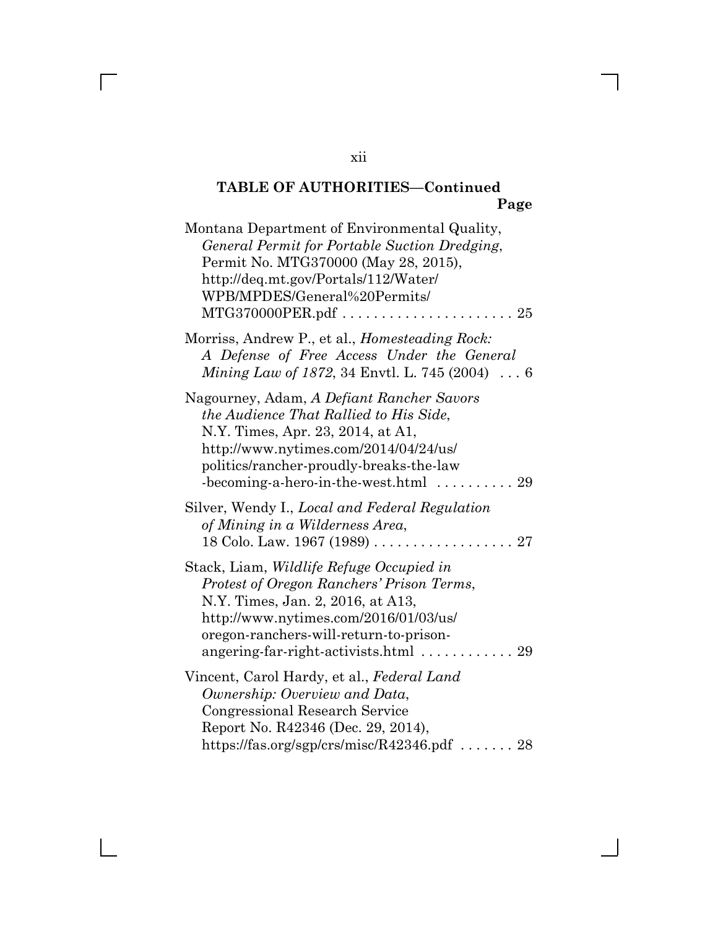| Montana Department of Environmental Quality,<br>General Permit for Portable Suction Dredging,<br>Permit No. MTG370000 (May 28, 2015),<br>http://deq.mt.gov/Portals/112/Water/<br>WPB/MPDES/General%20Permits/                                                                   |
|---------------------------------------------------------------------------------------------------------------------------------------------------------------------------------------------------------------------------------------------------------------------------------|
| Morriss, Andrew P., et al., Homesteading Rock:<br>A Defense of Free Access Under the General<br>Mining Law of 1872, 34 Envtl. L. 745 (2004) $\ldots$ 6                                                                                                                          |
| Nagourney, Adam, A Defiant Rancher Savors<br>the Audience That Rallied to His Side,<br>N.Y. Times, Apr. 23, 2014, at A1,<br>http://www.nytimes.com/2014/04/24/us/<br>politics/rancher-proudly-breaks-the-law<br>$-becoming-a-hero-in-the-west.html$<br>29                       |
| Silver, Wendy I., Local and Federal Regulation<br>of Mining in a Wilderness Area,                                                                                                                                                                                               |
| Stack, Liam, <i>Wildlife Refuge Occupied in</i><br>Protest of Oregon Ranchers' Prison Terms,<br>N.Y. Times, Jan. 2, 2016, at A13,<br>http://www.nytimes.com/2016/01/03/us/<br>oregon-ranchers-will-return-to-prison-<br>angering-far-right-activists.html $\ldots \ldots$<br>29 |
| Vincent, Carol Hardy, et al., Federal Land<br>Ownership: Overview and Data,<br><b>Congressional Research Service</b><br>Report No. R42346 (Dec. 29, 2014),<br>https://fas.org/sgp/crs/misc/R42346.pdf  28                                                                       |

xii

 $\overline{\Gamma}$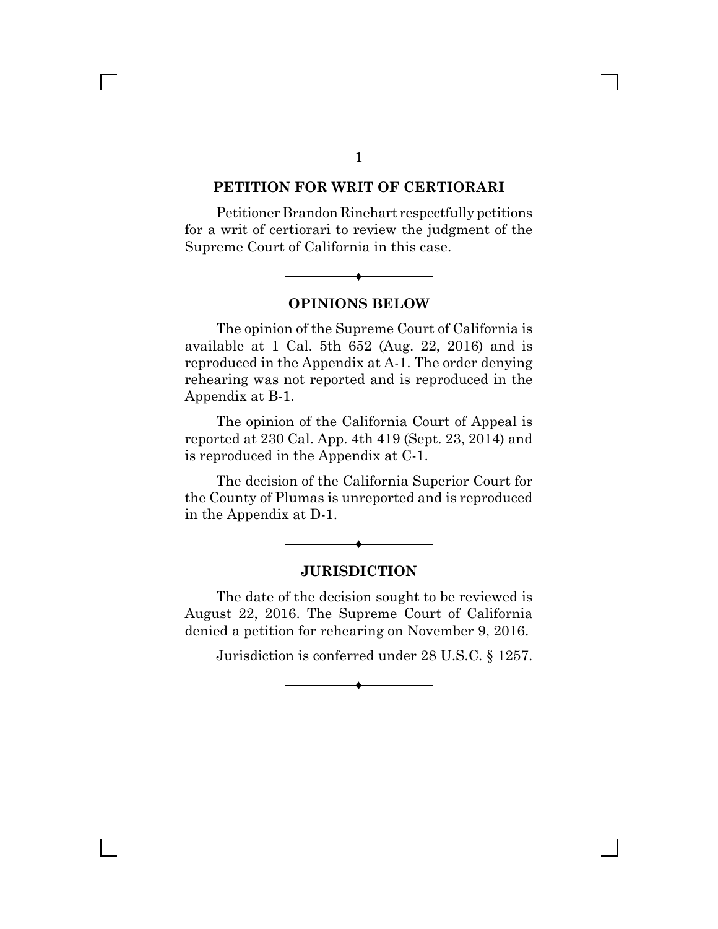#### **PETITION FOR WRIT OF CERTIORARI**

Petitioner Brandon Rinehart respectfully petitions for a writ of certiorari to review the judgment of the Supreme Court of California in this case.



 $\blacklozenge$ 

The opinion of the Supreme Court of California is available at 1 Cal. 5th 652 (Aug. 22, 2016) and is reproduced in the Appendix at A-1. The order denying rehearing was not reported and is reproduced in the Appendix at B-1.

The opinion of the California Court of Appeal is reported at 230 Cal. App. 4th 419 (Sept. 23, 2014) and is reproduced in the Appendix at C-1.

The decision of the California Superior Court for the County of Plumas is unreported and is reproduced in the Appendix at D-1.



 $\blacklozenge$ 

The date of the decision sought to be reviewed is August 22, 2016. The Supreme Court of California denied a petition for rehearing on November 9, 2016.

 $\blacklozenge$ 

Jurisdiction is conferred under 28 U.S.C. § 1257.

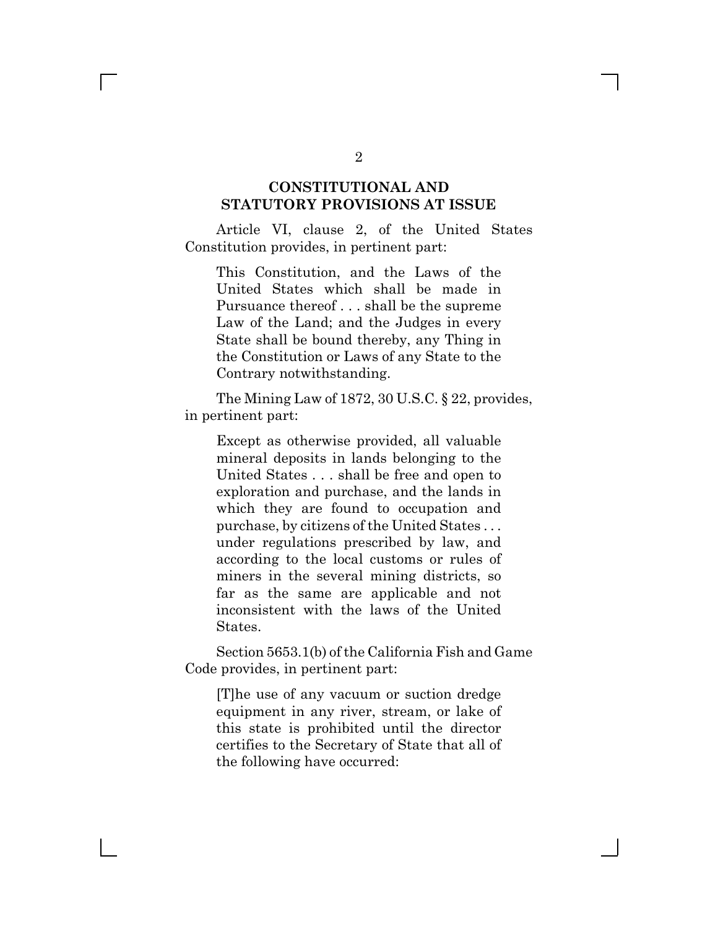### **CONSTITUTIONAL AND STATUTORY PROVISIONS AT ISSUE**

Article VI, clause 2, of the United States Constitution provides, in pertinent part:

This Constitution, and the Laws of the United States which shall be made in Pursuance thereof . . . shall be the supreme Law of the Land; and the Judges in every State shall be bound thereby, any Thing in the Constitution or Laws of any State to the Contrary notwithstanding.

The Mining Law of 1872, 30 U.S.C. § 22, provides, in pertinent part:

Except as otherwise provided, all valuable mineral deposits in lands belonging to the United States . . . shall be free and open to exploration and purchase, and the lands in which they are found to occupation and purchase, by citizens of the United States . . . under regulations prescribed by law, and according to the local customs or rules of miners in the several mining districts, so far as the same are applicable and not inconsistent with the laws of the United States.

Section 5653.1(b) of the California Fish and Game Code provides, in pertinent part:

[T]he use of any vacuum or suction dredge equipment in any river, stream, or lake of this state is prohibited until the director certifies to the Secretary of State that all of the following have occurred: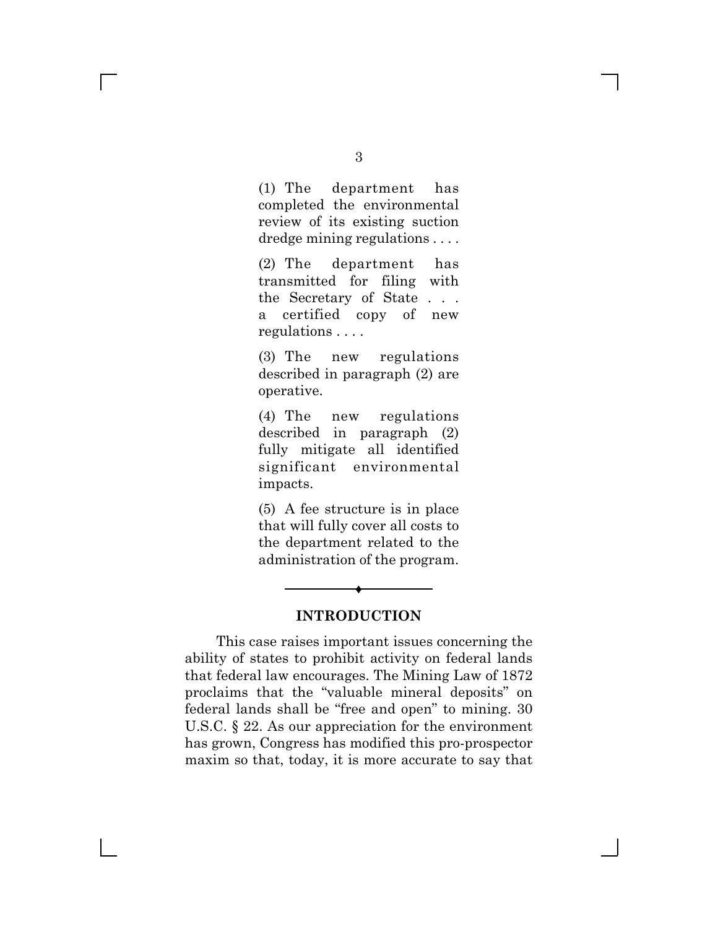(1) The department has completed the environmental review of its existing suction dredge mining regulations . . . .

(2) The department has transmitted for filing with the Secretary of State . . . a certified copy of new regulations . . . .

(3) The new regulations described in paragraph (2) are operative.

(4) The new regulations described in paragraph (2) fully mitigate all identified significant environmental impacts.

(5) A fee structure is in place that will fully cover all costs to the department related to the administration of the program.



Ë

This case raises important issues concerning the ability of states to prohibit activity on federal lands that federal law encourages. The Mining Law of 1872 proclaims that the "valuable mineral deposits" on federal lands shall be "free and open" to mining. 30 U.S.C. § 22. As our appreciation for the environment has grown, Congress has modified this pro-prospector maxim so that, today, it is more accurate to say that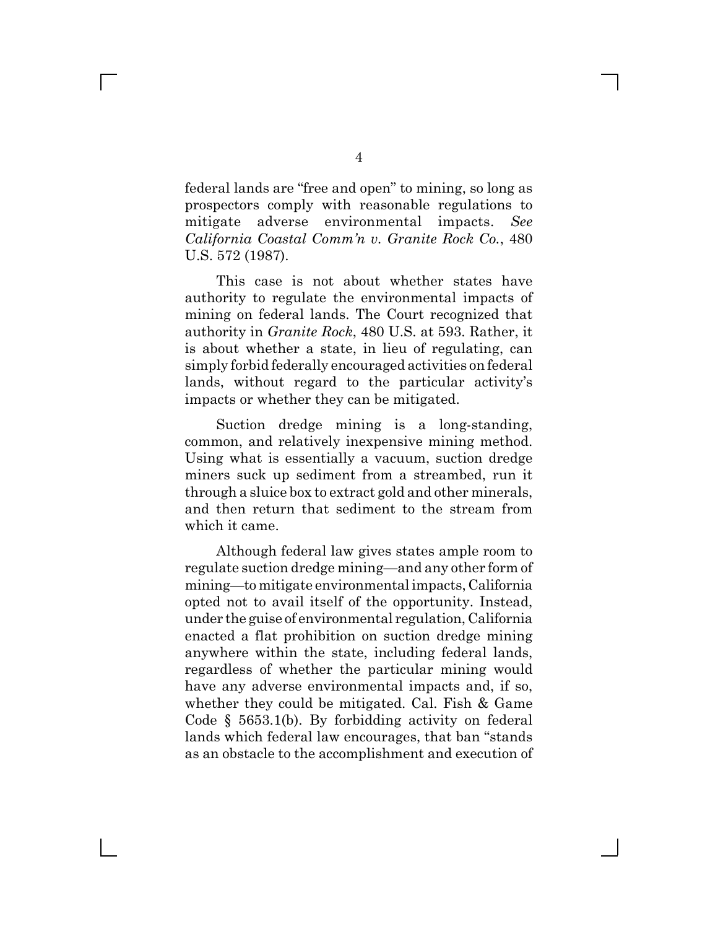federal lands are "free and open" to mining, so long as prospectors comply with reasonable regulations to mitigate adverse environmental impacts. *See California Coastal Comm'n v. Granite Rock Co.*, 480 U.S. 572 (1987).

This case is not about whether states have authority to regulate the environmental impacts of mining on federal lands. The Court recognized that authority in *Granite Rock*, 480 U.S. at 593. Rather, it is about whether a state, in lieu of regulating, can simply forbid federally encouraged activities on federal lands, without regard to the particular activity's impacts or whether they can be mitigated.

Suction dredge mining is a long-standing, common, and relatively inexpensive mining method. Using what is essentially a vacuum, suction dredge miners suck up sediment from a streambed, run it through a sluice box to extract gold and other minerals, and then return that sediment to the stream from which it came.

Although federal law gives states ample room to regulate suction dredge mining—and any other form of mining—to mitigate environmental impacts, California opted not to avail itself of the opportunity. Instead, under the guise of environmental regulation, California enacted a flat prohibition on suction dredge mining anywhere within the state, including federal lands, regardless of whether the particular mining would have any adverse environmental impacts and, if so, whether they could be mitigated. Cal. Fish & Game Code § 5653.1(b). By forbidding activity on federal lands which federal law encourages, that ban "stands as an obstacle to the accomplishment and execution of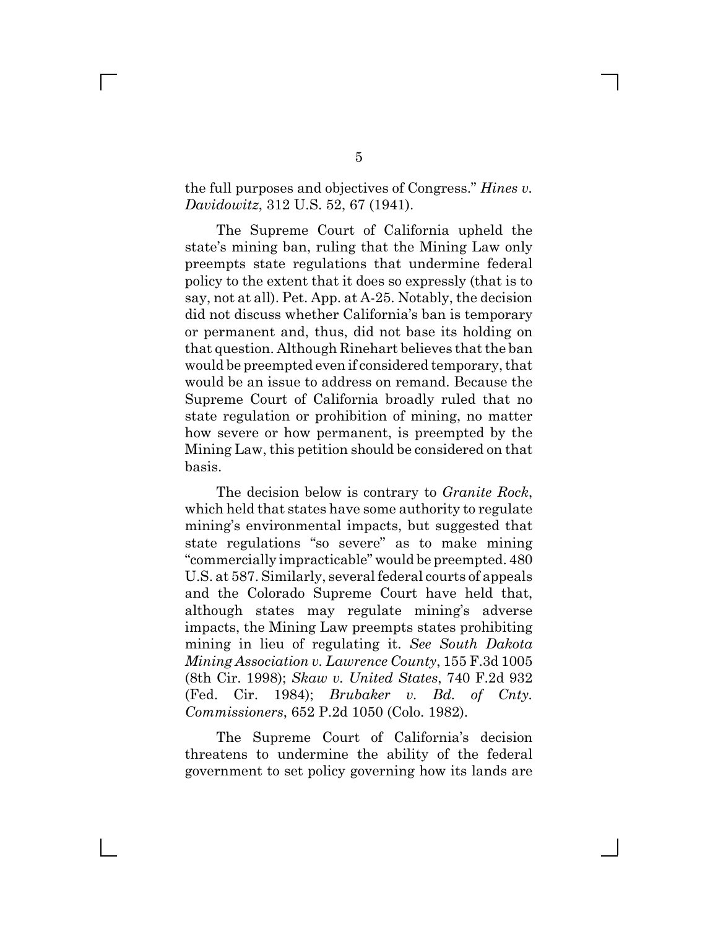### the full purposes and objectives of Congress." *Hines v. Davidowitz*, 312 U.S. 52, 67 (1941).

The Supreme Court of California upheld the state's mining ban, ruling that the Mining Law only preempts state regulations that undermine federal policy to the extent that it does so expressly (that is to say, not at all). Pet. App. at A-25. Notably, the decision did not discuss whether California's ban is temporary or permanent and, thus, did not base its holding on that question. Although Rinehart believes that the ban would be preempted even if considered temporary, that would be an issue to address on remand. Because the Supreme Court of California broadly ruled that no state regulation or prohibition of mining, no matter how severe or how permanent, is preempted by the Mining Law, this petition should be considered on that basis.

The decision below is contrary to *Granite Rock*, which held that states have some authority to regulate mining's environmental impacts, but suggested that state regulations "so severe" as to make mining "commercially impracticable" would be preempted. 480 U.S. at 587. Similarly, several federal courts of appeals and the Colorado Supreme Court have held that, although states may regulate mining's adverse impacts, the Mining Law preempts states prohibiting mining in lieu of regulating it. *See South Dakota Mining Association v. Lawrence County*, 155 F.3d 1005 (8th Cir. 1998); *Skaw v. United States*, 740 F.2d 932 (Fed. Cir. 1984); *Brubaker v. Bd. of Cnty. Commissioners*, 652 P.2d 1050 (Colo. 1982).

The Supreme Court of California's decision threatens to undermine the ability of the federal government to set policy governing how its lands are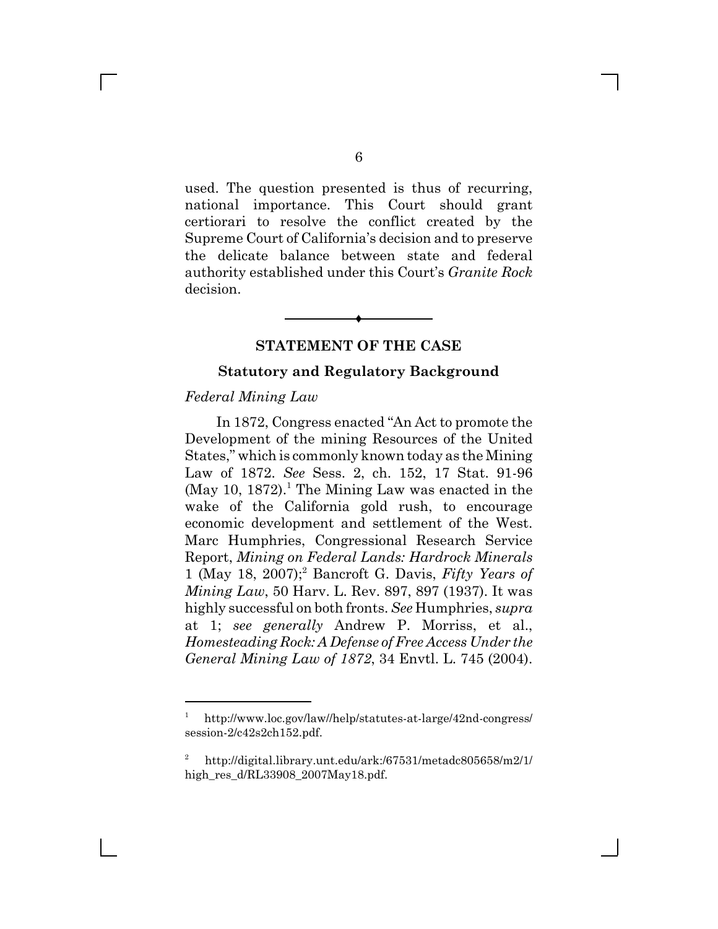used. The question presented is thus of recurring, national importance. This Court should grant certiorari to resolve the conflict created by the Supreme Court of California's decision and to preserve the delicate balance between state and federal authority established under this Court's *Granite Rock* decision.

#### **STATEMENT OF THE CASE**

Ë

#### **Statutory and Regulatory Background**

#### *Federal Mining Law*

In 1872, Congress enacted "An Act to promote the Development of the mining Resources of the United States," which is commonly known today as the Mining Law of 1872. *See* Sess. 2, ch. 152, 17 Stat. 91-96  $(May 10, 1872).$ <sup>1</sup> The Mining Law was enacted in the wake of the California gold rush, to encourage economic development and settlement of the West. Marc Humphries, Congressional Research Service Report, *Mining on Federal Lands: Hardrock Minerals* 1 (May 18, 2007);<sup>2</sup> Bancroft G. Davis, *Fifty Years of Mining Law*, 50 Harv. L. Rev. 897, 897 (1937). It was highly successful on both fronts. *See* Humphries, *supra* at 1; *see generally* Andrew P. Morriss, et al., *Homesteading Rock: A Defense of Free Access Under the General Mining Law of 1872*, 34 Envtl. L. 745 (2004).

<sup>1</sup> http://www.loc.gov/law//help/statutes-at-large/42nd-congress/ session-2/c42s2ch152.pdf.

<sup>2</sup> http://digital.library.unt.edu/ark:/67531/metadc805658/m2/1/ high\_res\_d/RL33908\_2007May18.pdf.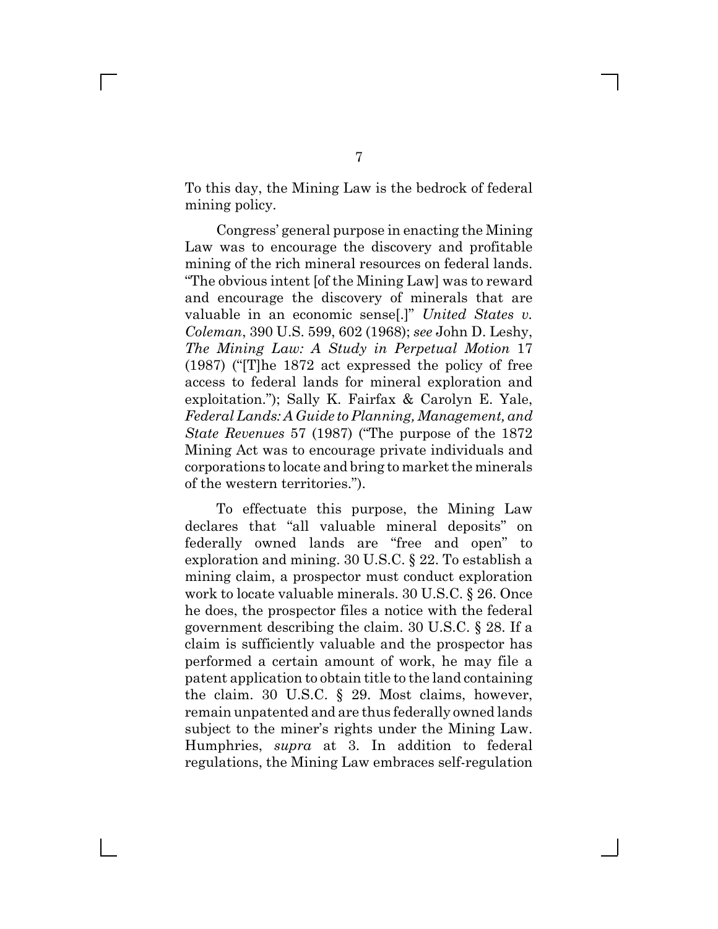To this day, the Mining Law is the bedrock of federal mining policy.

Congress' general purpose in enacting the Mining Law was to encourage the discovery and profitable mining of the rich mineral resources on federal lands. "The obvious intent [of the Mining Law] was to reward and encourage the discovery of minerals that are valuable in an economic sense[.]" *United States v. Coleman*, 390 U.S. 599, 602 (1968); *see* John D. Leshy, *The Mining Law: A Study in Perpetual Motion* 17 (1987) ("[T]he 1872 act expressed the policy of free access to federal lands for mineral exploration and exploitation."); Sally K. Fairfax & Carolyn E. Yale, *Federal Lands: A Guide to Planning, Management, and State Revenues* 57 (1987) ("The purpose of the 1872 Mining Act was to encourage private individuals and corporations to locate and bring to market the minerals of the western territories.").

To effectuate this purpose, the Mining Law declares that "all valuable mineral deposits" on federally owned lands are "free and open" to exploration and mining. 30 U.S.C. § 22. To establish a mining claim, a prospector must conduct exploration work to locate valuable minerals. 30 U.S.C. § 26. Once he does, the prospector files a notice with the federal government describing the claim. 30 U.S.C. § 28. If a claim is sufficiently valuable and the prospector has performed a certain amount of work, he may file a patent application to obtain title to the land containing the claim. 30 U.S.C. § 29. Most claims, however, remain unpatented and are thus federally owned lands subject to the miner's rights under the Mining Law. Humphries, *supra* at 3. In addition to federal regulations, the Mining Law embraces self-regulation

 $\Box$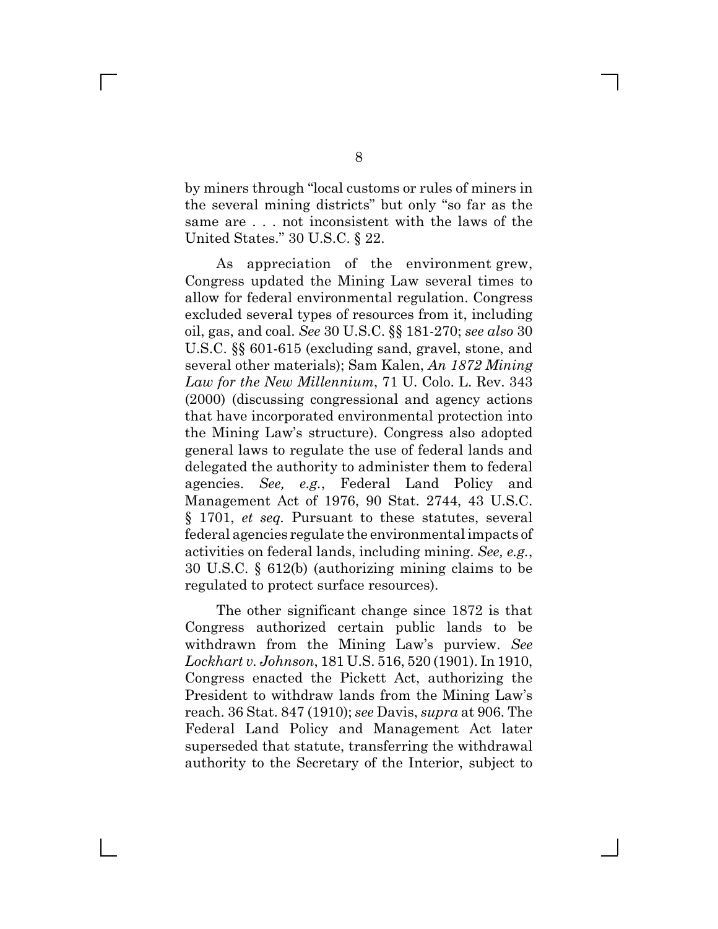by miners through "local customs or rules of miners in the several mining districts" but only "so far as the same are . . . not inconsistent with the laws of the United States." 30 U.S.C. § 22.

 As appreciation of the environment grew, Congress updated the Mining Law several times to allow for federal environmental regulation. Congress excluded several types of resources from it, including oil, gas, and coal. *See* 30 U.S.C. §§ 181-270; *see also* 30 U.S.C. §§ 601-615 (excluding sand, gravel, stone, and several other materials); Sam Kalen, *An 1872 Mining Law for the New Millennium*, 71 U. Colo. L. Rev. 343 (2000) (discussing congressional and agency actions that have incorporated environmental protection into the Mining Law's structure). Congress also adopted general laws to regulate the use of federal lands and delegated the authority to administer them to federal agencies. *See, e.g.*, Federal Land Policy and Management Act of 1976, 90 Stat. 2744, 43 U.S.C. § 1701, *et seq.* Pursuant to these statutes, several federal agencies regulate the environmental impacts of activities on federal lands, including mining. *See, e.g.*, 30 U.S.C. § 612(b) (authorizing mining claims to be regulated to protect surface resources).

The other significant change since 1872 is that Congress authorized certain public lands to be withdrawn from the Mining Law's purview. *See Lockhart v. Johnson*, 181 U.S. 516, 520 (1901). In 1910, Congress enacted the Pickett Act, authorizing the President to withdraw lands from the Mining Law's reach. 36 Stat. 847 (1910); *see* Davis, *supra* at 906. The Federal Land Policy and Management Act later superseded that statute, transferring the withdrawal authority to the Secretary of the Interior, subject to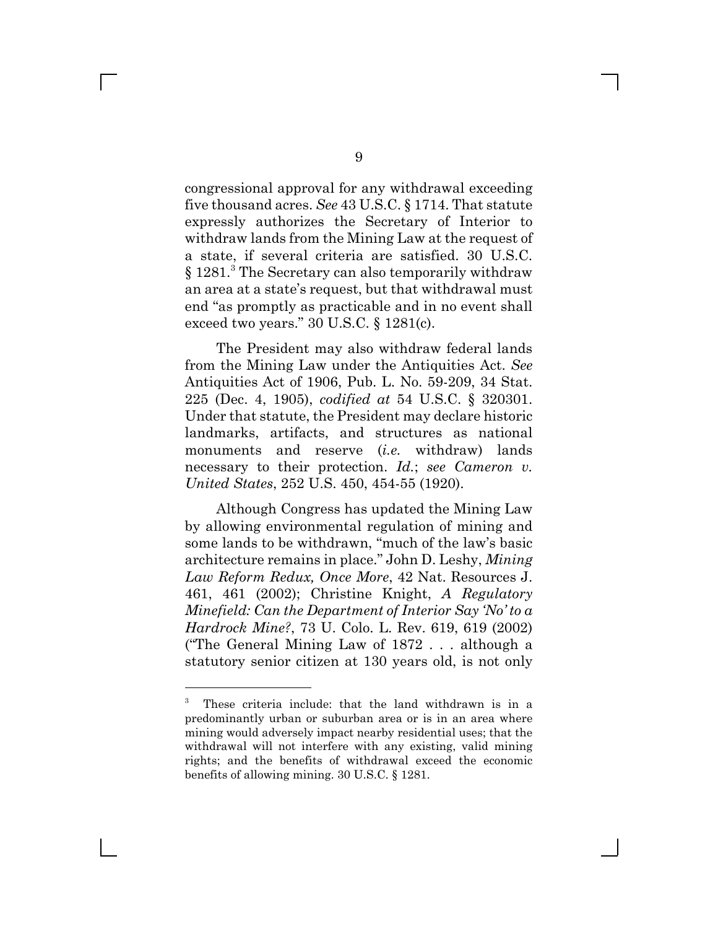congressional approval for any withdrawal exceeding five thousand acres. *See* 43 U.S.C. § 1714. That statute expressly authorizes the Secretary of Interior to withdraw lands from the Mining Law at the request of a state, if several criteria are satisfied. 30 U.S.C. § 1281.<sup>3</sup> The Secretary can also temporarily withdraw an area at a state's request, but that withdrawal must end "as promptly as practicable and in no event shall exceed two years." 30 U.S.C. § 1281(c).

The President may also withdraw federal lands from the Mining Law under the Antiquities Act. *See* Antiquities Act of 1906, Pub. L. No. 59-209, 34 Stat. 225 (Dec. 4, 1905), *codified at* 54 U.S.C. § 320301. Under that statute, the President may declare historic landmarks, artifacts, and structures as national monuments and reserve (*i.e.* withdraw) lands necessary to their protection. *Id.*; *see Cameron v. United States*, 252 U.S. 450, 454-55 (1920).

Although Congress has updated the Mining Law by allowing environmental regulation of mining and some lands to be withdrawn, "much of the law's basic architecture remains in place." John D. Leshy, *Mining Law Reform Redux, Once More*, 42 Nat. Resources J. 461, 461 (2002); Christine Knight, *A Regulatory Minefield: Can the Department of Interior Say 'No' to a Hardrock Mine?*, 73 U. Colo. L. Rev. 619, 619 (2002) ("The General Mining Law of 1872 . . . although a statutory senior citizen at 130 years old, is not only

<sup>3</sup> These criteria include: that the land withdrawn is in a predominantly urban or suburban area or is in an area where mining would adversely impact nearby residential uses; that the withdrawal will not interfere with any existing, valid mining rights; and the benefits of withdrawal exceed the economic benefits of allowing mining. 30 U.S.C. § 1281.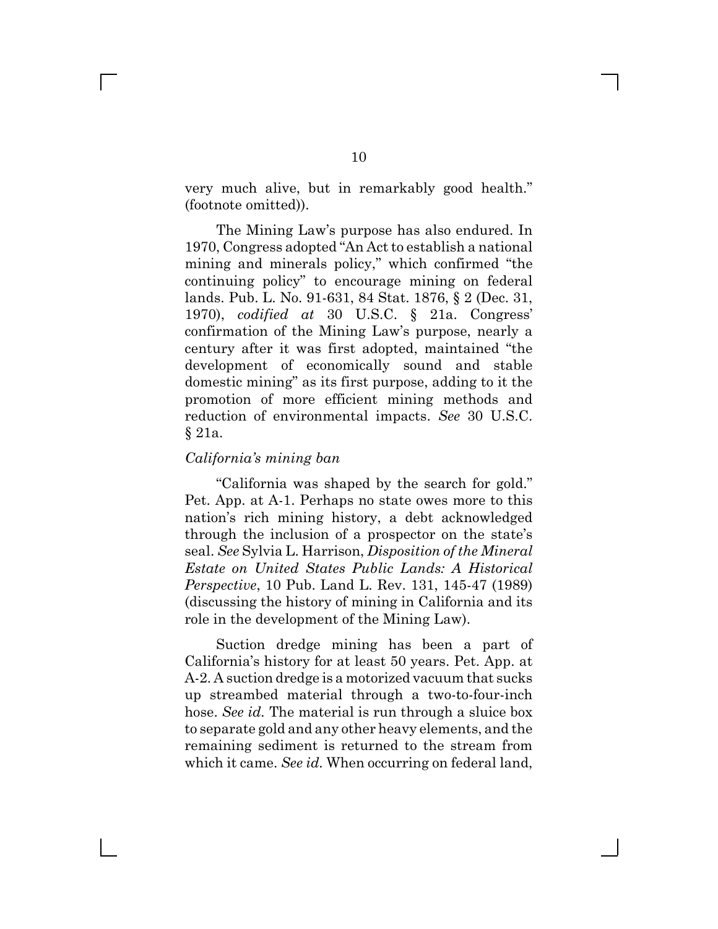very much alive, but in remarkably good health." (footnote omitted)).

The Mining Law's purpose has also endured. In 1970, Congress adopted "An Act to establish a national mining and minerals policy," which confirmed "the continuing policy" to encourage mining on federal lands. Pub. L. No. 91-631, 84 Stat. 1876, § 2 (Dec. 31, 1970), *codified at* 30 U.S.C. § 21a. Congress' confirmation of the Mining Law's purpose, nearly a century after it was first adopted, maintained "the development of economically sound and stable domestic mining" as its first purpose, adding to it the promotion of more efficient mining methods and reduction of environmental impacts. *See* 30 U.S.C. § 21a.

#### *California's mining ban*

 $\mathbf{L}$ 

"California was shaped by the search for gold." Pet. App. at A-1. Perhaps no state owes more to this nation's rich mining history, a debt acknowledged through the inclusion of a prospector on the state's seal. *See* Sylvia L. Harrison, *Disposition of the Mineral Estate on United States Public Lands: A Historical Perspective*, 10 Pub. Land L. Rev. 131, 145-47 (1989) (discussing the history of mining in California and its role in the development of the Mining Law).

Suction dredge mining has been a part of California's history for at least 50 years. Pet. App. at A-2. A suction dredge is a motorized vacuum that sucks up streambed material through a two-to-four-inch hose. *See id.* The material is run through a sluice box to separate gold and any other heavy elements, and the remaining sediment is returned to the stream from which it came. *See id.* When occurring on federal land,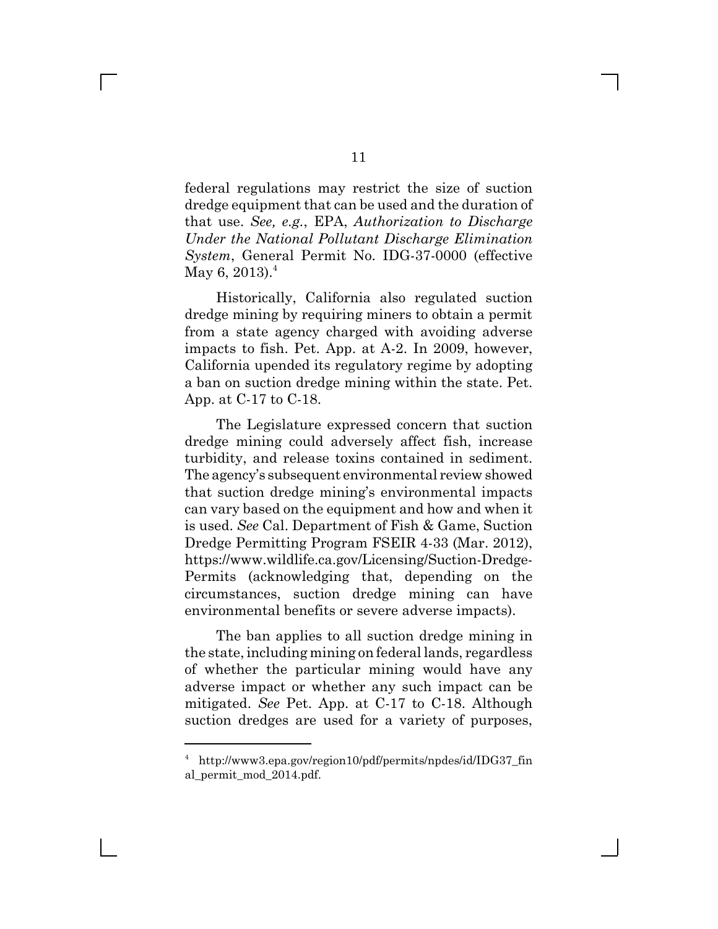federal regulations may restrict the size of suction dredge equipment that can be used and the duration of that use. *See, e.g.*, EPA, *Authorization to Discharge Under the National Pollutant Discharge Elimination System*, General Permit No. IDG-37-0000 (effective May 6, 2013).<sup>4</sup>

Historically, California also regulated suction dredge mining by requiring miners to obtain a permit from a state agency charged with avoiding adverse impacts to fish. Pet. App. at A-2. In 2009, however, California upended its regulatory regime by adopting a ban on suction dredge mining within the state. Pet. App. at C-17 to C-18.

The Legislature expressed concern that suction dredge mining could adversely affect fish, increase turbidity, and release toxins contained in sediment. The agency's subsequent environmental review showed that suction dredge mining's environmental impacts can vary based on the equipment and how and when it is used. *See* Cal. Department of Fish & Game, Suction Dredge Permitting Program FSEIR 4-33 (Mar. 2012), https://www.wildlife.ca.gov/Licensing/Suction-Dredge-Permits (acknowledging that, depending on the circumstances, suction dredge mining can have environmental benefits or severe adverse impacts).

The ban applies to all suction dredge mining in the state, including mining on federal lands, regardless of whether the particular mining would have any adverse impact or whether any such impact can be mitigated. *See* Pet. App. at C-17 to C-18. Although suction dredges are used for a variety of purposes,

<sup>4</sup> http://www3.epa.gov/region10/pdf/permits/npdes/id/IDG37\_fin al\_permit\_mod\_2014.pdf.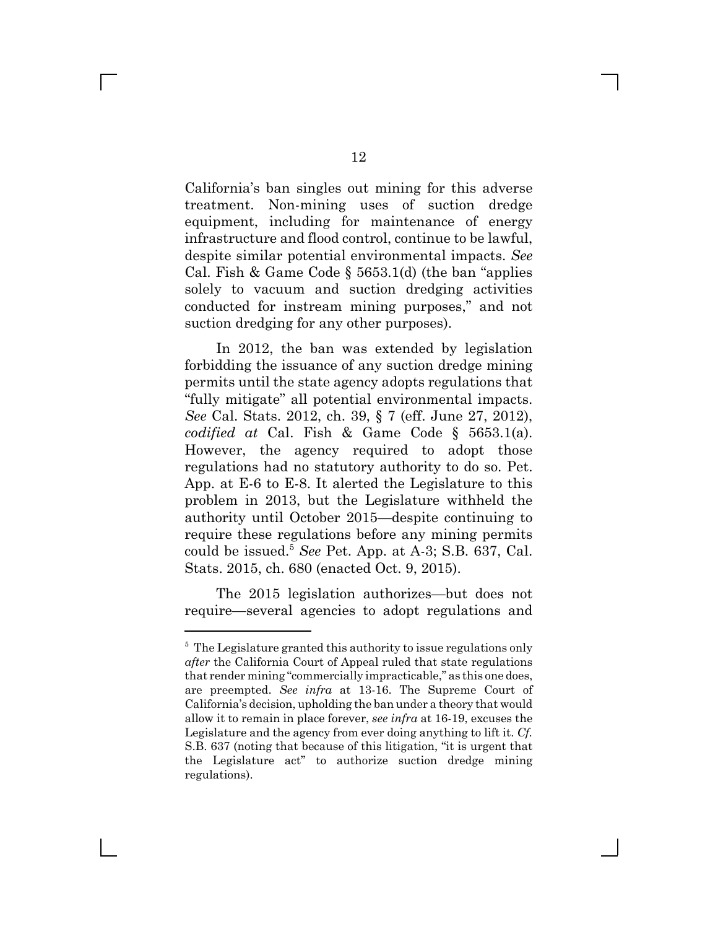California's ban singles out mining for this adverse treatment. Non-mining uses of suction dredge equipment, including for maintenance of energy infrastructure and flood control, continue to be lawful, despite similar potential environmental impacts. *See* Cal. Fish & Game Code  $\S$  5653.1(d) (the ban "applies solely to vacuum and suction dredging activities conducted for instream mining purposes," and not suction dredging for any other purposes).

In 2012, the ban was extended by legislation forbidding the issuance of any suction dredge mining permits until the state agency adopts regulations that "fully mitigate" all potential environmental impacts. *See* Cal. Stats. 2012, ch. 39, § 7 (eff. June 27, 2012), *codified at* Cal. Fish & Game Code § 5653.1(a). However, the agency required to adopt those regulations had no statutory authority to do so. Pet. App. at E-6 to E-8. It alerted the Legislature to this problem in 2013, but the Legislature withheld the authority until October 2015—despite continuing to require these regulations before any mining permits could be issued.5 *See* Pet. App. at A-3; S.B. 637, Cal. Stats. 2015, ch. 680 (enacted Oct. 9, 2015).

The 2015 legislation authorizes—but does not require—several agencies to adopt regulations and

<sup>&</sup>lt;sup>5</sup> The Legislature granted this authority to issue regulations only *after* the California Court of Appeal ruled that state regulations that render mining "commercially impracticable," as this one does, are preempted. *See infra* at 13-16. The Supreme Court of California's decision, upholding the ban under a theory that would allow it to remain in place forever, *see infra* at 16-19, excuses the Legislature and the agency from ever doing anything to lift it. *Cf.* S.B. 637 (noting that because of this litigation, "it is urgent that the Legislature act" to authorize suction dredge mining regulations).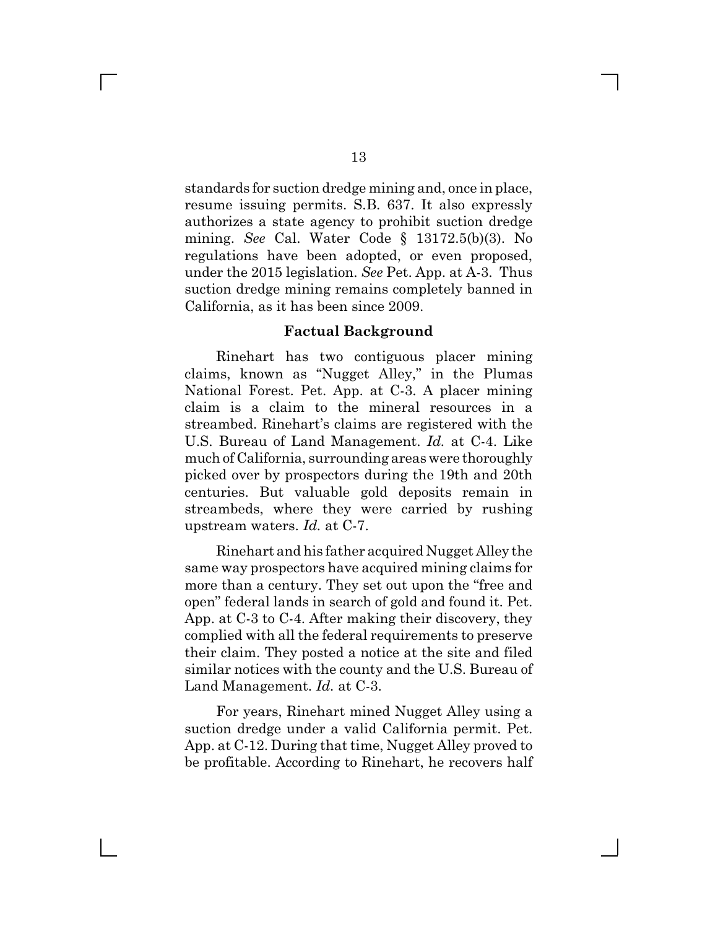standards for suction dredge mining and, once in place, resume issuing permits. S.B. 637. It also expressly authorizes a state agency to prohibit suction dredge mining. *See* Cal. Water Code § 13172.5(b)(3). No regulations have been adopted, or even proposed, under the 2015 legislation. *See* Pet. App. at A-3. Thus suction dredge mining remains completely banned in California, as it has been since 2009.

#### **Factual Background**

Rinehart has two contiguous placer mining claims, known as "Nugget Alley," in the Plumas National Forest. Pet. App. at C-3. A placer mining claim is a claim to the mineral resources in a streambed. Rinehart's claims are registered with the U.S. Bureau of Land Management. *Id.* at C-4. Like much of California, surrounding areas were thoroughly picked over by prospectors during the 19th and 20th centuries. But valuable gold deposits remain in streambeds, where they were carried by rushing upstream waters. *Id.* at C-7.

Rinehart and his father acquired Nugget Alley the same way prospectors have acquired mining claims for more than a century. They set out upon the "free and open" federal lands in search of gold and found it. Pet. App. at C-3 to C-4. After making their discovery, they complied with all the federal requirements to preserve their claim. They posted a notice at the site and filed similar notices with the county and the U.S. Bureau of Land Management. *Id.* at C-3.

For years, Rinehart mined Nugget Alley using a suction dredge under a valid California permit. Pet. App. at C-12. During that time, Nugget Alley proved to be profitable. According to Rinehart, he recovers half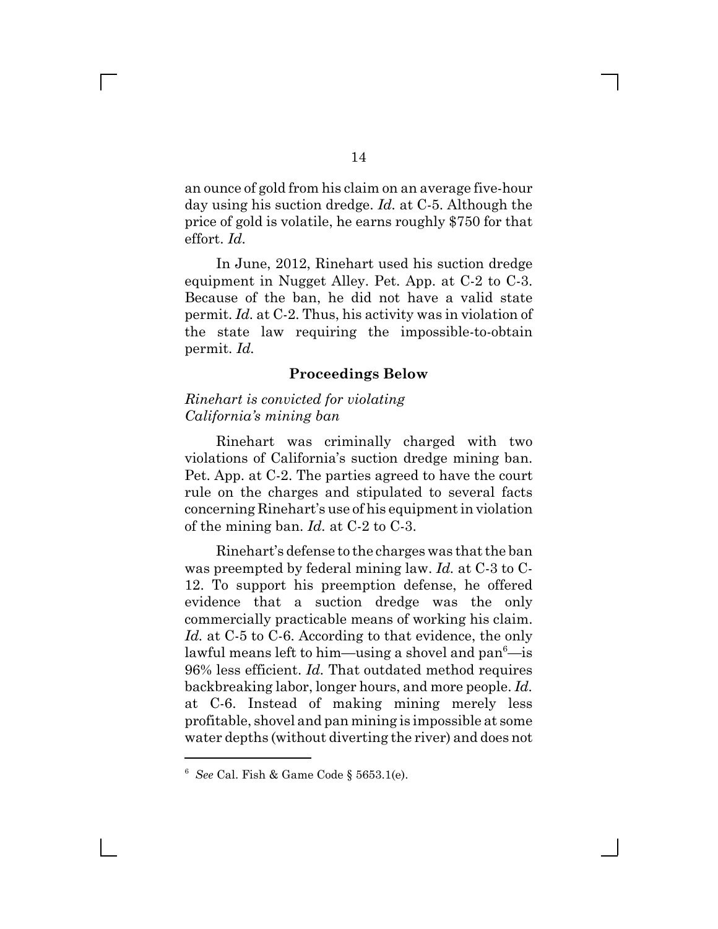an ounce of gold from his claim on an average five-hour day using his suction dredge. *Id.* at C-5. Although the price of gold is volatile, he earns roughly \$750 for that effort. *Id.*

In June, 2012, Rinehart used his suction dredge equipment in Nugget Alley. Pet. App. at C-2 to C-3. Because of the ban, he did not have a valid state permit. *Id.* at C-2. Thus, his activity was in violation of the state law requiring the impossible-to-obtain permit. *Id.*

#### **Proceedings Below**

#### *Rinehart is convicted for violating California's mining ban*

 $\mathbf{L}$ 

Rinehart was criminally charged with two violations of California's suction dredge mining ban. Pet. App. at C-2. The parties agreed to have the court rule on the charges and stipulated to several facts concerning Rinehart's use of his equipment in violation of the mining ban. *Id.* at C-2 to C-3.

Rinehart's defense to the charges was that the ban was preempted by federal mining law. *Id.* at C-3 to C-12. To support his preemption defense, he offered evidence that a suction dredge was the only commercially practicable means of working his claim. *Id.* at C-5 to C-6. According to that evidence, the only lawful means left to him—using a shovel and pan $^6$ —is 96% less efficient. *Id.* That outdated method requires backbreaking labor, longer hours, and more people. *Id.* at C-6. Instead of making mining merely less profitable, shovel and pan mining is impossible at some water depths (without diverting the river) and does not

<sup>6</sup> *See* Cal. Fish & Game Code § 5653.1(e).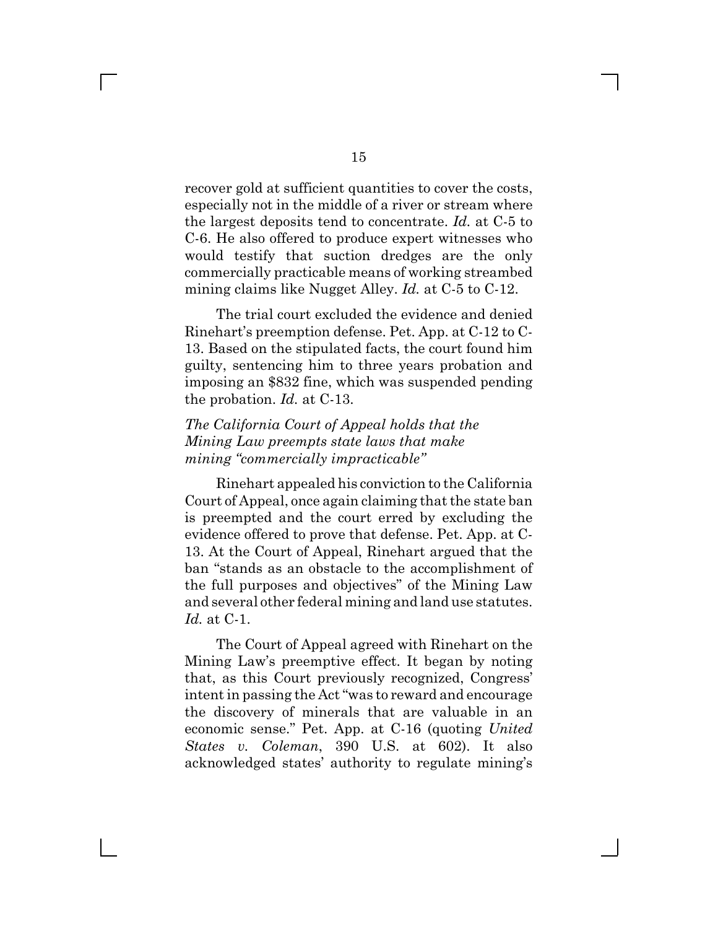recover gold at sufficient quantities to cover the costs, especially not in the middle of a river or stream where the largest deposits tend to concentrate. *Id.* at C-5 to C-6. He also offered to produce expert witnesses who would testify that suction dredges are the only commercially practicable means of working streambed mining claims like Nugget Alley. *Id.* at C-5 to C-12.

The trial court excluded the evidence and denied Rinehart's preemption defense. Pet. App. at C-12 to C-13. Based on the stipulated facts, the court found him guilty, sentencing him to three years probation and imposing an \$832 fine, which was suspended pending the probation. *Id.* at C-13.

### *The California Court of Appeal holds that the Mining Law preempts state laws that make mining "commercially impracticable"*

Rinehart appealed his conviction to the California Court of Appeal, once again claiming that the state ban is preempted and the court erred by excluding the evidence offered to prove that defense. Pet. App. at C-13. At the Court of Appeal, Rinehart argued that the ban "stands as an obstacle to the accomplishment of the full purposes and objectives" of the Mining Law and several other federal mining and land use statutes. *Id.* at C-1.

The Court of Appeal agreed with Rinehart on the Mining Law's preemptive effect. It began by noting that, as this Court previously recognized, Congress' intent in passing the Act "was to reward and encourage the discovery of minerals that are valuable in an economic sense." Pet. App. at C-16 (quoting *United States v. Coleman*, 390 U.S. at 602). It also acknowledged states' authority to regulate mining's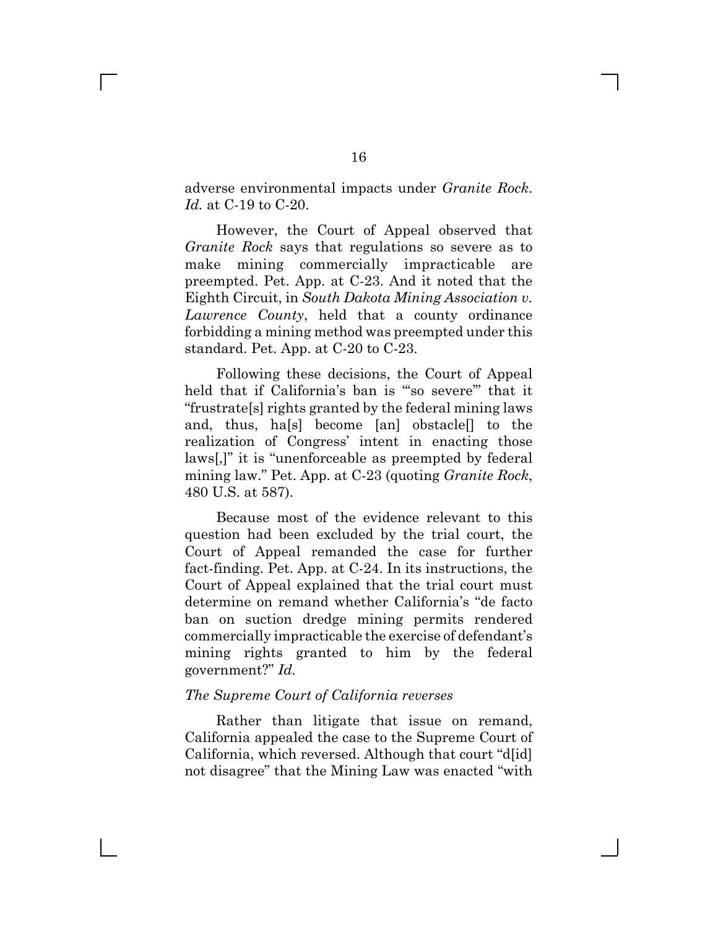adverse environmental impacts under *Granite Rock*. *Id.* at C-19 to C-20.

However, the Court of Appeal observed that *Granite Rock* says that regulations so severe as to make mining commercially impracticable are preempted. Pet. App. at C-23. And it noted that the Eighth Circuit, in *South Dakota Mining Association v. Lawrence County*, held that a county ordinance forbidding a mining method was preempted under this standard. Pet. App. at C-20 to C-23.

Following these decisions, the Court of Appeal held that if California's ban is "'so severe'" that it "frustrate[s] rights granted by the federal mining laws and, thus, ha[s] become [an] obstacle[] to the realization of Congress' intent in enacting those laws[,]" it is "unenforceable as preempted by federal mining law." Pet. App. at C-23 (quoting *Granite Rock*, 480 U.S. at 587).

Because most of the evidence relevant to this question had been excluded by the trial court, the Court of Appeal remanded the case for further fact-finding. Pet. App. at C-24. In its instructions, the Court of Appeal explained that the trial court must determine on remand whether California's "de facto ban on suction dredge mining permits rendered commercially impracticable the exercise of defendant's mining rights granted to him by the federal government?" *Id.*

#### *The Supreme Court of California reverses*

Rather than litigate that issue on remand, California appealed the case to the Supreme Court of California, which reversed. Although that court "d[id] not disagree" that the Mining Law was enacted "with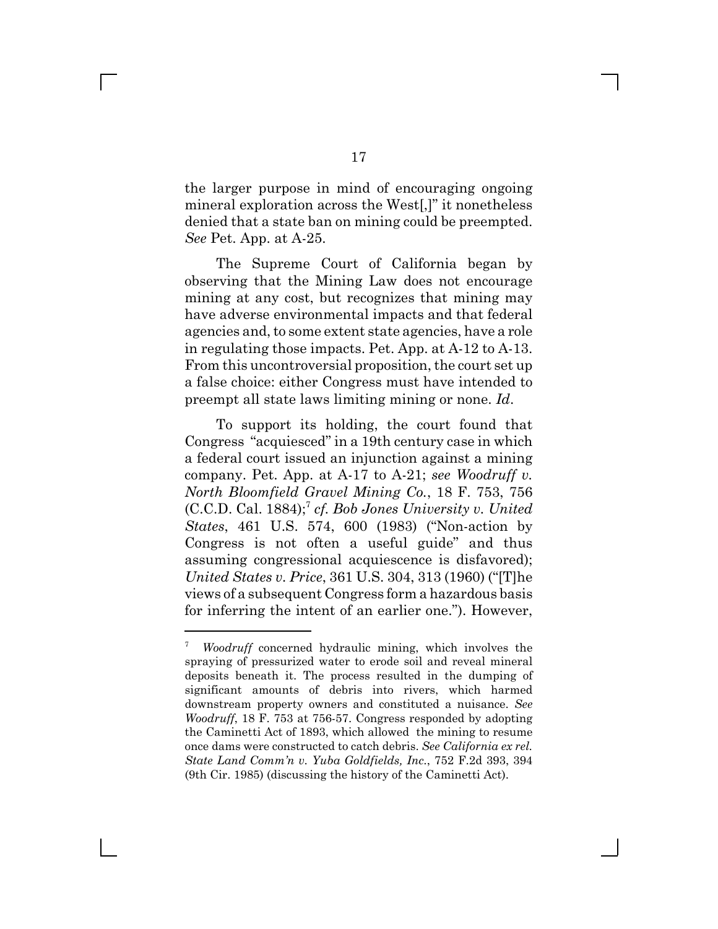the larger purpose in mind of encouraging ongoing mineral exploration across the West[,]" it nonetheless denied that a state ban on mining could be preempted. *See* Pet. App. at A-25.

The Supreme Court of California began by observing that the Mining Law does not encourage mining at any cost, but recognizes that mining may have adverse environmental impacts and that federal agencies and, to some extent state agencies, have a role in regulating those impacts. Pet. App. at A-12 to A-13. From this uncontroversial proposition, the court set up a false choice: either Congress must have intended to preempt all state laws limiting mining or none. *Id*.

To support its holding, the court found that Congress "acquiesced" in a 19th century case in which a federal court issued an injunction against a mining company. Pet. App. at A-17 to A-21; *see Woodruff v. North Bloomfield Gravel Mining Co.*, 18 F. 753, 756 (C.C.D. Cal. 1884);7 *cf. Bob Jones University v. United States*, 461 U.S. 574, 600 (1983) ("Non-action by Congress is not often a useful guide" and thus assuming congressional acquiescence is disfavored); *United States v. Price*, 361 U.S. 304, 313 (1960) ("[T]he views of a subsequent Congress form a hazardous basis for inferring the intent of an earlier one."). However,

<sup>7</sup> *Woodruff* concerned hydraulic mining, which involves the spraying of pressurized water to erode soil and reveal mineral deposits beneath it. The process resulted in the dumping of significant amounts of debris into rivers, which harmed downstream property owners and constituted a nuisance. *See Woodruff*, 18 F. 753 at 756-57. Congress responded by adopting the Caminetti Act of 1893, which allowed the mining to resume once dams were constructed to catch debris. *See California ex rel. State Land Comm'n v. Yuba Goldfields, Inc.*, 752 F.2d 393, 394 (9th Cir. 1985) (discussing the history of the Caminetti Act).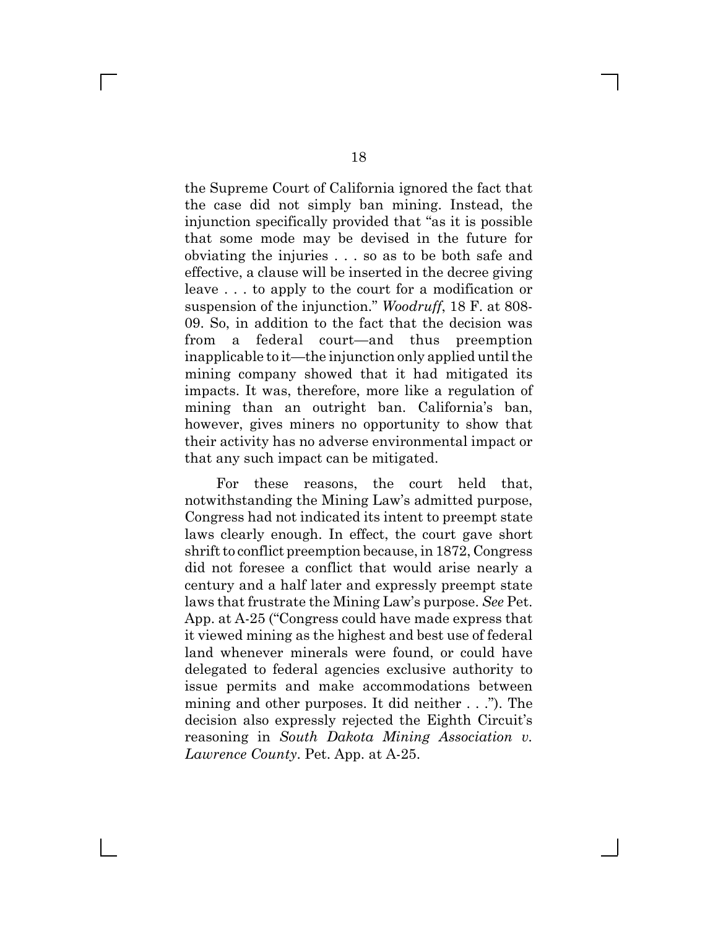the Supreme Court of California ignored the fact that the case did not simply ban mining. Instead, the injunction specifically provided that "as it is possible that some mode may be devised in the future for obviating the injuries . . . so as to be both safe and effective, a clause will be inserted in the decree giving leave . . . to apply to the court for a modification or suspension of the injunction." *Woodruff*, 18 F. at 808- 09. So, in addition to the fact that the decision was from a federal court—and thus preemption inapplicable to it—the injunction only applied until the mining company showed that it had mitigated its impacts. It was, therefore, more like a regulation of mining than an outright ban. California's ban, however, gives miners no opportunity to show that their activity has no adverse environmental impact or that any such impact can be mitigated.

For these reasons, the court held that, notwithstanding the Mining Law's admitted purpose, Congress had not indicated its intent to preempt state laws clearly enough. In effect, the court gave short shrift to conflict preemption because, in 1872, Congress did not foresee a conflict that would arise nearly a century and a half later and expressly preempt state laws that frustrate the Mining Law's purpose. *See* Pet. App. at A-25 ("Congress could have made express that it viewed mining as the highest and best use of federal land whenever minerals were found, or could have delegated to federal agencies exclusive authority to issue permits and make accommodations between mining and other purposes. It did neither . . ."). The decision also expressly rejected the Eighth Circuit's reasoning in *South Dakota Mining Association v. Lawrence County*. Pet. App. at A-25.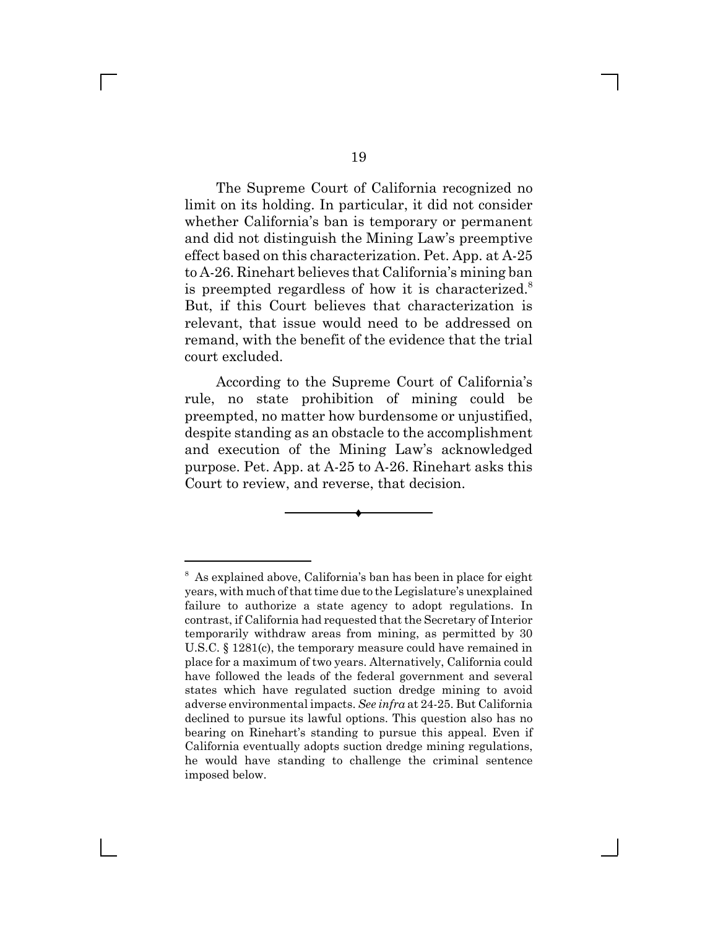The Supreme Court of California recognized no limit on its holding. In particular, it did not consider whether California's ban is temporary or permanent and did not distinguish the Mining Law's preemptive effect based on this characterization. Pet. App. at A-25 to A-26. Rinehart believes that California's mining ban is preempted regardless of how it is characterized.<sup>8</sup> But, if this Court believes that characterization is relevant, that issue would need to be addressed on remand, with the benefit of the evidence that the trial court excluded.

According to the Supreme Court of California's rule, no state prohibition of mining could be preempted, no matter how burdensome or unjustified, despite standing as an obstacle to the accomplishment and execution of the Mining Law's acknowledged purpose. Pet. App. at A-25 to A-26. Rinehart asks this Court to review, and reverse, that decision.



<sup>&</sup>lt;sup>8</sup> As explained above, California's ban has been in place for eight years, with much of that time due to the Legislature's unexplained failure to authorize a state agency to adopt regulations. In contrast, if California had requested that the Secretary of Interior temporarily withdraw areas from mining, as permitted by 30 U.S.C. § 1281(c), the temporary measure could have remained in place for a maximum of two years. Alternatively, California could have followed the leads of the federal government and several states which have regulated suction dredge mining to avoid adverse environmental impacts. *See infra* at 24-25. But California declined to pursue its lawful options. This question also has no bearing on Rinehart's standing to pursue this appeal. Even if California eventually adopts suction dredge mining regulations, he would have standing to challenge the criminal sentence imposed below.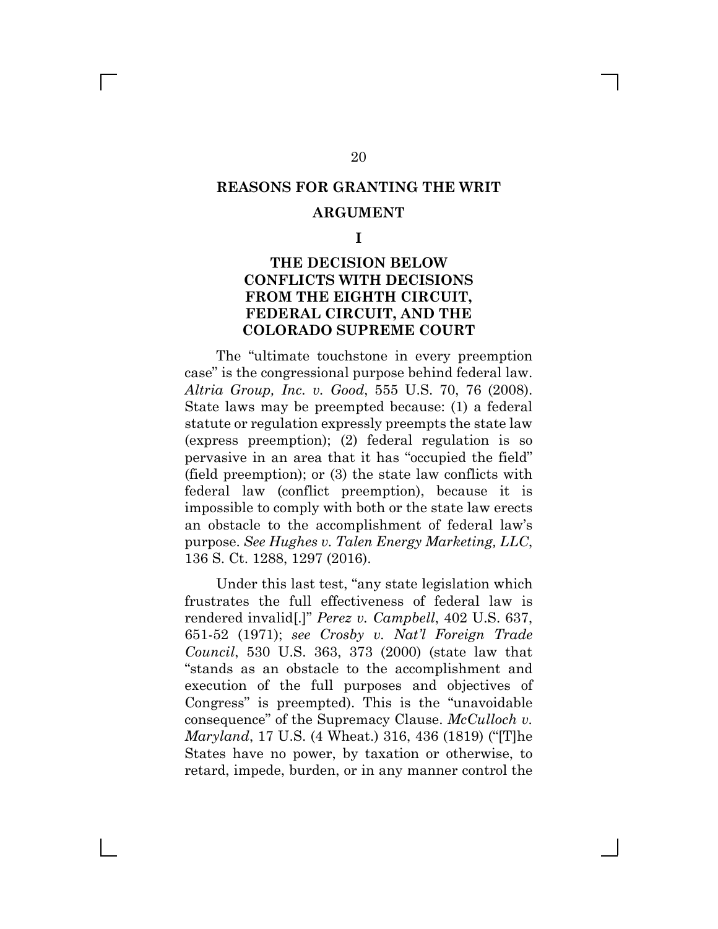## **REASONS FOR GRANTING THE WRIT**

#### **ARGUMENT**

**I**

### **THE DECISION BELOW CONFLICTS WITH DECISIONS FROM THE EIGHTH CIRCUIT, FEDERAL CIRCUIT, AND THE COLORADO SUPREME COURT**

The "ultimate touchstone in every preemption case" is the congressional purpose behind federal law. *Altria Group, Inc. v. Good*, 555 U.S. 70, 76 (2008). State laws may be preempted because: (1) a federal statute or regulation expressly preempts the state law (express preemption); (2) federal regulation is so pervasive in an area that it has "occupied the field" (field preemption); or (3) the state law conflicts with federal law (conflict preemption), because it is impossible to comply with both or the state law erects an obstacle to the accomplishment of federal law's purpose. *See Hughes v. Talen Energy Marketing, LLC*, 136 S. Ct. 1288, 1297 (2016).

Under this last test, "any state legislation which frustrates the full effectiveness of federal law is rendered invalid[.]" *Perez v. Campbell*, 402 U.S. 637, 651-52 (1971); *see Crosby v. Nat'l Foreign Trade Council*, 530 U.S. 363, 373 (2000) (state law that "stands as an obstacle to the accomplishment and execution of the full purposes and objectives of Congress" is preempted). This is the "unavoidable consequence" of the Supremacy Clause. *McCulloch v. Maryland*, 17 U.S. (4 Wheat.) 316, 436 (1819) ("[T]he States have no power, by taxation or otherwise, to retard, impede, burden, or in any manner control the

20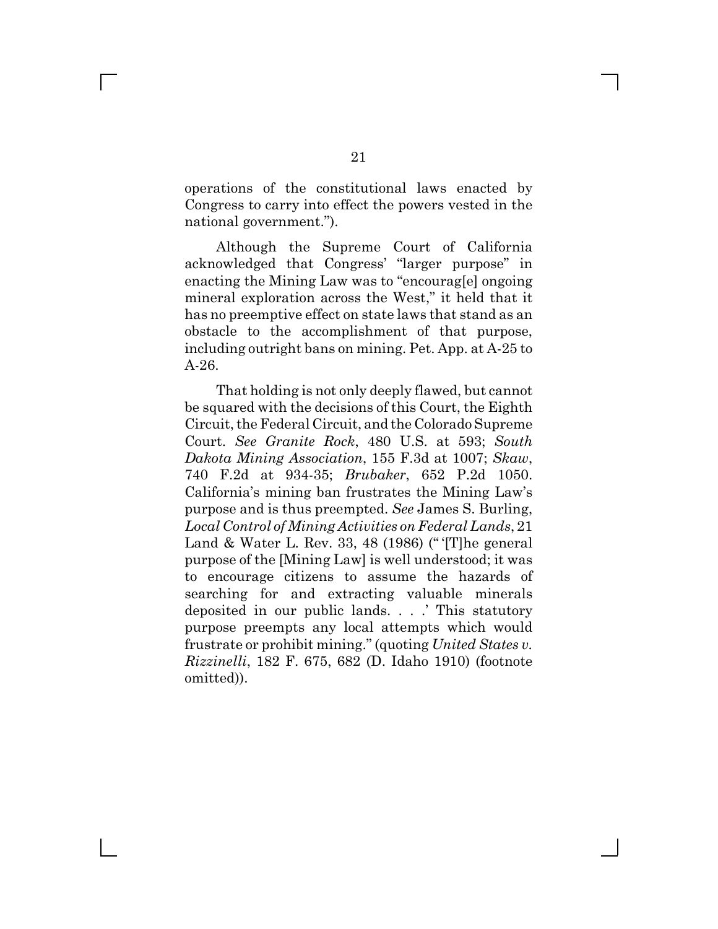operations of the constitutional laws enacted by Congress to carry into effect the powers vested in the national government.").

Although the Supreme Court of California acknowledged that Congress' "larger purpose" in enacting the Mining Law was to "encourag[e] ongoing mineral exploration across the West," it held that it has no preemptive effect on state laws that stand as an obstacle to the accomplishment of that purpose, including outright bans on mining. Pet. App. at A-25 to A-26.

That holding is not only deeply flawed, but cannot be squared with the decisions of this Court, the Eighth Circuit, the Federal Circuit, and the Colorado Supreme Court. *See Granite Rock*, 480 U.S. at 593; *South Dakota Mining Association*, 155 F.3d at 1007; *Skaw*, 740 F.2d at 934-35; *Brubaker*, 652 P.2d 1050. California's mining ban frustrates the Mining Law's purpose and is thus preempted. *See* James S. Burling, *Local Control of Mining Activities on Federal Lands*, 21 Land & Water L. Rev. 33, 48 (1986) (" '[T]he general purpose of the [Mining Law] is well understood; it was to encourage citizens to assume the hazards of searching for and extracting valuable minerals deposited in our public lands. . . .' This statutory purpose preempts any local attempts which would frustrate or prohibit mining." (quoting *United States v. Rizzinelli*, 182 F. 675, 682 (D. Idaho 1910) (footnote omitted)).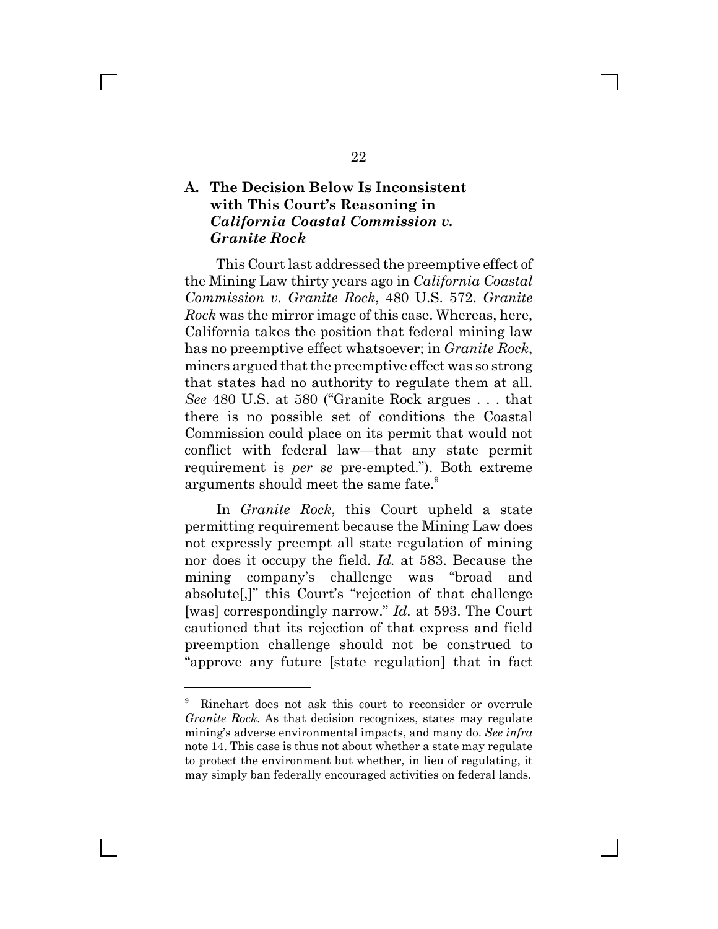## **A. The Decision Below Is Inconsistent with This Court's Reasoning in** *California Coastal Commission v. Granite Rock*

This Court last addressed the preemptive effect of the Mining Law thirty years ago in *California Coastal Commission v. Granite Rock*, 480 U.S. 572. *Granite Rock* was the mirror image of this case. Whereas, here, California takes the position that federal mining law has no preemptive effect whatsoever; in *Granite Rock*, miners argued that the preemptive effect was so strong that states had no authority to regulate them at all. *See* 480 U.S. at 580 ("Granite Rock argues . . . that there is no possible set of conditions the Coastal Commission could place on its permit that would not conflict with federal law—that any state permit requirement is *per se* pre-empted."). Both extreme arguments should meet the same fate.<sup>9</sup>

In *Granite Rock*, this Court upheld a state permitting requirement because the Mining Law does not expressly preempt all state regulation of mining nor does it occupy the field. *Id.* at 583. Because the mining company's challenge was "broad and absolute[,]" this Court's "rejection of that challenge [was] correspondingly narrow." *Id.* at 593. The Court cautioned that its rejection of that express and field preemption challenge should not be construed to "approve any future [state regulation] that in fact

<sup>9</sup> Rinehart does not ask this court to reconsider or overrule *Granite Rock*. As that decision recognizes, states may regulate mining's adverse environmental impacts, and many do. *See infra* note 14. This case is thus not about whether a state may regulate to protect the environment but whether, in lieu of regulating, it may simply ban federally encouraged activities on federal lands.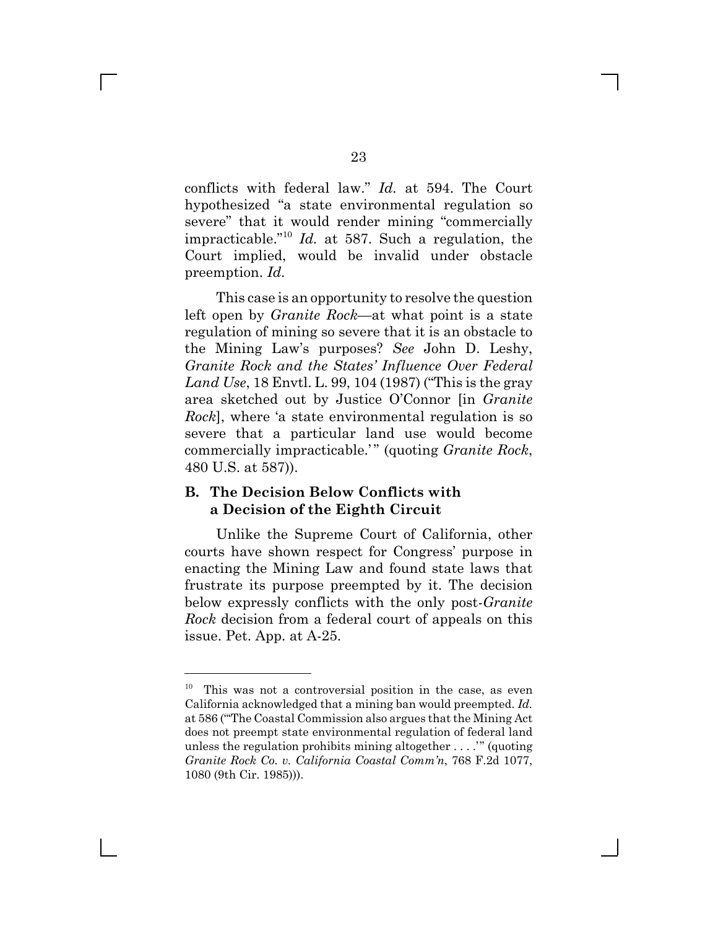conflicts with federal law." *Id.* at 594. The Court hypothesized "a state environmental regulation so severe" that it would render mining "commercially impracticable."<sup>10</sup> *Id.* at 587. Such a regulation, the Court implied, would be invalid under obstacle preemption. *Id.*

This case is an opportunity to resolve the question left open by *Granite Rock*—at what point is a state regulation of mining so severe that it is an obstacle to the Mining Law's purposes? *See* John D. Leshy, *Granite Rock and the States' Influence Over Federal Land Use*, 18 Envtl. L. 99, 104 (1987) ("This is the gray area sketched out by Justice O'Connor [in *Granite Rock*], where 'a state environmental regulation is so severe that a particular land use would become commercially impracticable.'" (quoting *Granite Rock*, 480 U.S. at 587)).

### **B. The Decision Below Conflicts with a Decision of the Eighth Circuit**

Unlike the Supreme Court of California, other courts have shown respect for Congress' purpose in enacting the Mining Law and found state laws that frustrate its purpose preempted by it. The decision below expressly conflicts with the only post-*Granite Rock* decision from a federal court of appeals on this issue. Pet. App. at A-25.

 $10$  This was not a controversial position in the case, as even California acknowledged that a mining ban would preempted. *Id.* at 586 ("'The Coastal Commission also argues that the Mining Act does not preempt state environmental regulation of federal land unless the regulation prohibits mining altogether . . . .'" (quoting *Granite Rock Co. v. California Coastal Comm'n*, 768 F.2d 1077, 1080 (9th Cir. 1985))).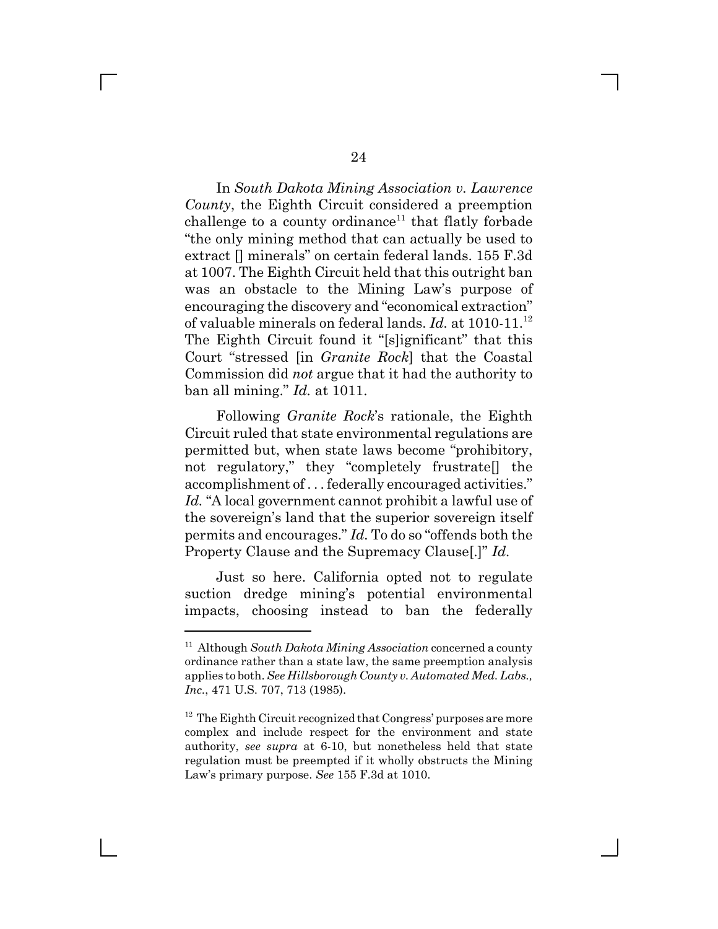In *South Dakota Mining Association v. Lawrence County*, the Eighth Circuit considered a preemption challenge to a county ordinance<sup>11</sup> that flatly forbade "the only mining method that can actually be used to extract [] minerals" on certain federal lands. 155 F.3d at 1007. The Eighth Circuit held that this outright ban was an obstacle to the Mining Law's purpose of encouraging the discovery and "economical extraction" of valuable minerals on federal lands. *Id.* at 1010-11.<sup>12</sup> The Eighth Circuit found it "[s]ignificant" that this Court "stressed [in *Granite Rock*] that the Coastal Commission did *not* argue that it had the authority to ban all mining." *Id.* at 1011.

Following *Granite Rock*'s rationale, the Eighth Circuit ruled that state environmental regulations are permitted but, when state laws become "prohibitory, not regulatory," they "completely frustrate[] the accomplishment of . . . federally encouraged activities." *Id.* "A local government cannot prohibit a lawful use of the sovereign's land that the superior sovereign itself permits and encourages." *Id.* To do so "offends both the Property Clause and the Supremacy Clause[.]" *Id.*

Just so here. California opted not to regulate suction dredge mining's potential environmental impacts, choosing instead to ban the federally

<sup>11</sup> Although *South Dakota Mining Association* concerned a county ordinance rather than a state law, the same preemption analysis applies to both. *See Hillsborough County v. Automated Med. Labs., Inc.*, 471 U.S. 707, 713 (1985).

<sup>&</sup>lt;sup>12</sup> The Eighth Circuit recognized that Congress' purposes are more complex and include respect for the environment and state authority, *see supra* at 6-10, but nonetheless held that state regulation must be preempted if it wholly obstructs the Mining Law's primary purpose. *See* 155 F.3d at 1010.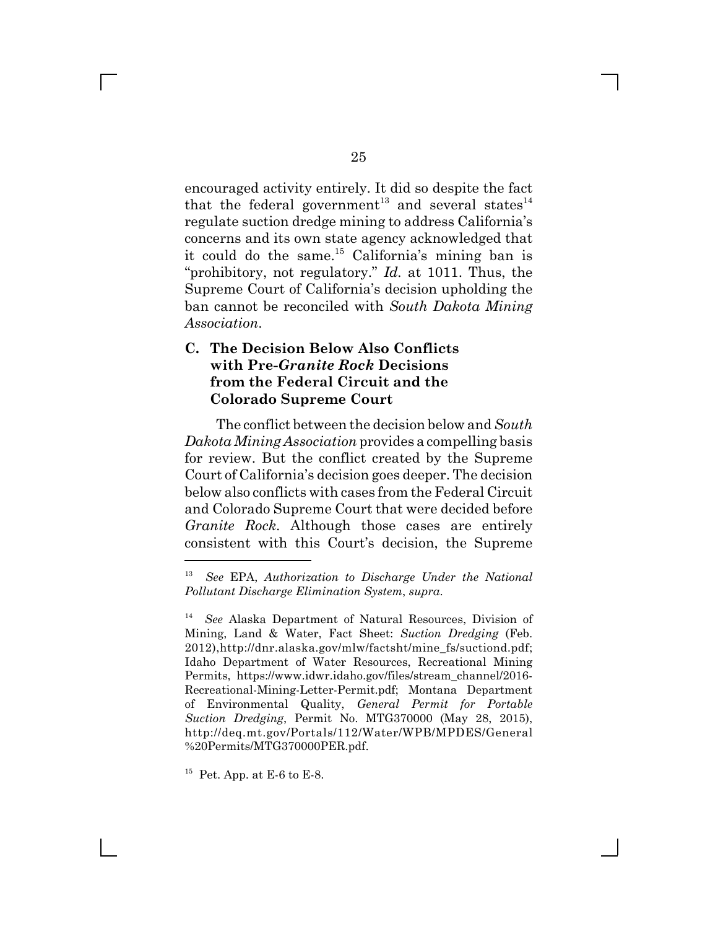encouraged activity entirely. It did so despite the fact that the federal government<sup>13</sup> and several states<sup>14</sup> regulate suction dredge mining to address California's concerns and its own state agency acknowledged that it could do the same.<sup>15</sup> California's mining ban is "prohibitory, not regulatory." *Id.* at 1011. Thus, the Supreme Court of California's decision upholding the ban cannot be reconciled with *South Dakota Mining Association*.

### **C. The Decision Below Also Conflicts with Pre-***Granite Rock* **Decisions from the Federal Circuit and the Colorado Supreme Court**

The conflict between the decision below and *South Dakota Mining Association* provides a compelling basis for review. But the conflict created by the Supreme Court of California's decision goes deeper. The decision below also conflicts with cases from the Federal Circuit and Colorado Supreme Court that were decided before *Granite Rock*. Although those cases are entirely consistent with this Court's decision, the Supreme

<sup>13</sup> *See* EPA, *Authorization to Discharge Under the National Pollutant Discharge Elimination System*, *supra*.

<sup>14</sup> *See* Alaska Department of Natural Resources, Division of Mining, Land & Water, Fact Sheet: *Suction Dredging* (Feb. 2012),http://dnr.alaska.gov/mlw/factsht/mine\_fs/suctiond.pdf; Idaho Department of Water Resources, Recreational Mining Permits, https://www.idwr.idaho.gov/files/stream\_channel/2016- Recreational-Mining-Letter-Permit.pdf; Montana Department of Environmental Quality, *General Permit for Portable Suction Dredging*, Permit No. MTG370000 (May 28, 2015), http://deq.mt.gov/Portals/112/Water/WPB/MPDES/General %20Permits/MTG370000PER.pdf.

 $15$  Pet. App. at E-6 to E-8.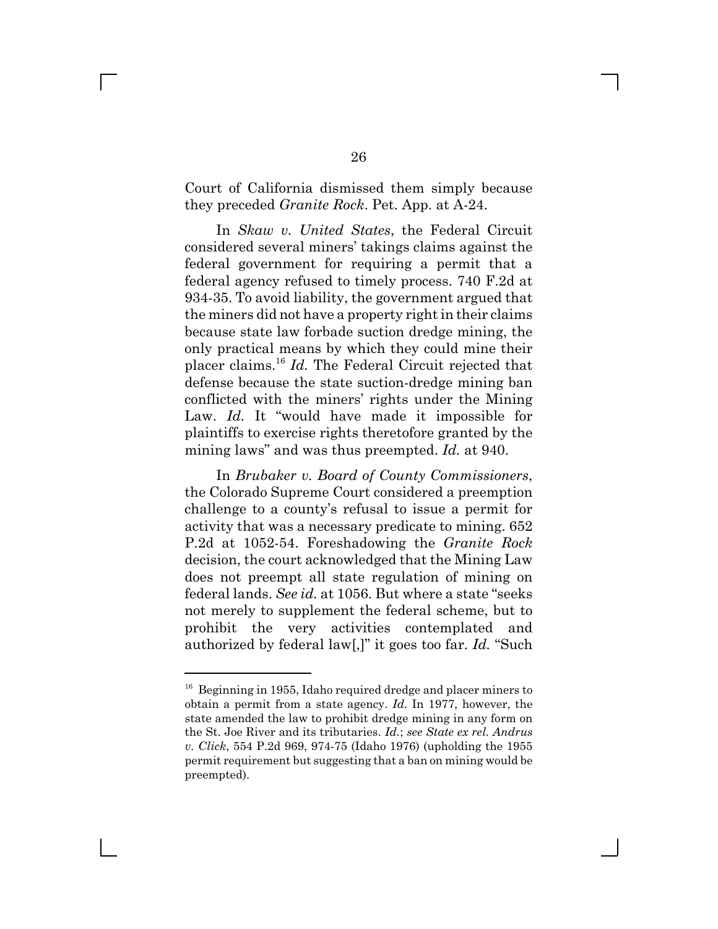Court of California dismissed them simply because they preceded *Granite Rock*. Pet. App. at A-24.

In *Skaw v. United States*, the Federal Circuit considered several miners' takings claims against the federal government for requiring a permit that a federal agency refused to timely process. 740 F.2d at 934-35. To avoid liability, the government argued that the miners did not have a property right in their claims because state law forbade suction dredge mining, the only practical means by which they could mine their placer claims.16 *Id.* The Federal Circuit rejected that defense because the state suction-dredge mining ban conflicted with the miners' rights under the Mining Law. *Id.* It "would have made it impossible for plaintiffs to exercise rights theretofore granted by the mining laws" and was thus preempted. *Id.* at 940.

In *Brubaker v. Board of County Commissioners*, the Colorado Supreme Court considered a preemption challenge to a county's refusal to issue a permit for activity that was a necessary predicate to mining. 652 P.2d at 1052-54. Foreshadowing the *Granite Rock* decision, the court acknowledged that the Mining Law does not preempt all state regulation of mining on federal lands. *See id.* at 1056. But where a state "seeks not merely to supplement the federal scheme, but to prohibit the very activities contemplated and authorized by federal law[,]" it goes too far. *Id.* "Such

<sup>&</sup>lt;sup>16</sup> Beginning in 1955, Idaho required dredge and placer miners to obtain a permit from a state agency. *Id.* In 1977, however, the state amended the law to prohibit dredge mining in any form on the St. Joe River and its tributaries. *Id.*; *see State ex rel. Andrus v. Click*, 554 P.2d 969, 974-75 (Idaho 1976) (upholding the 1955 permit requirement but suggesting that a ban on mining would be preempted).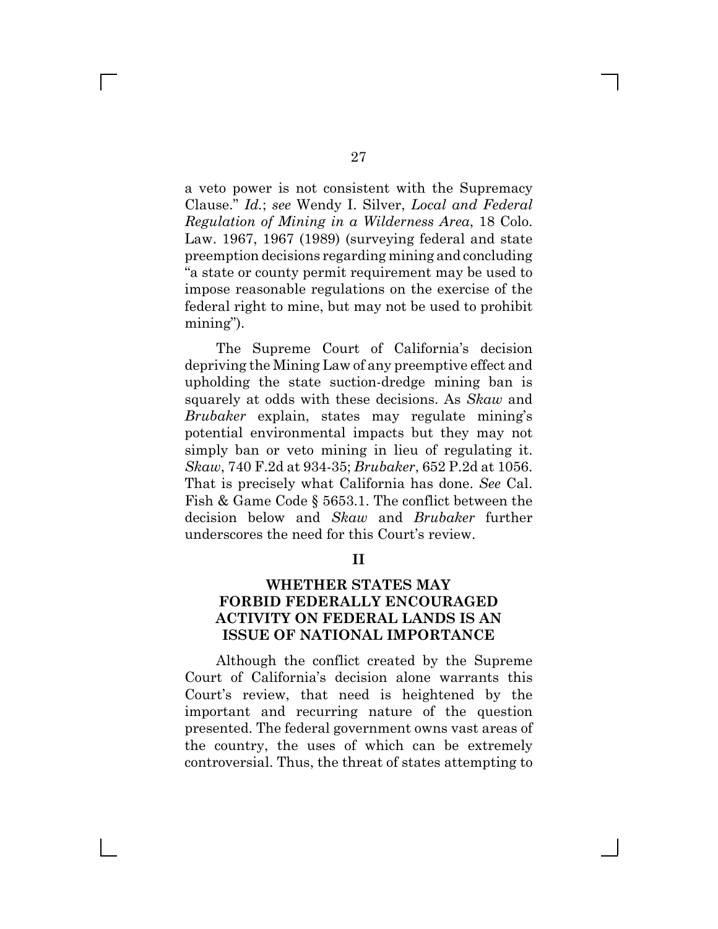a veto power is not consistent with the Supremacy Clause." *Id.*; *see* Wendy I. Silver, *Local and Federal Regulation of Mining in a Wilderness Area*, 18 Colo. Law. 1967, 1967 (1989) (surveying federal and state preemption decisions regarding mining and concluding "a state or county permit requirement may be used to impose reasonable regulations on the exercise of the federal right to mine, but may not be used to prohibit mining").

The Supreme Court of California's decision depriving the Mining Law of any preemptive effect and upholding the state suction-dredge mining ban is squarely at odds with these decisions. As *Skaw* and *Brubaker* explain, states may regulate mining's potential environmental impacts but they may not simply ban or veto mining in lieu of regulating it. *Skaw*, 740 F.2d at 934-35; *Brubaker*, 652 P.2d at 1056. That is precisely what California has done. *See* Cal. Fish & Game Code § 5653.1. The conflict between the decision below and *Skaw* and *Brubaker* further underscores the need for this Court's review.

**II**

## **WHETHER STATES MAY FORBID FEDERALLY ENCOURAGED ACTIVITY ON FEDERAL LANDS IS AN ISSUE OF NATIONAL IMPORTANCE**

Although the conflict created by the Supreme Court of California's decision alone warrants this Court's review, that need is heightened by the important and recurring nature of the question presented. The federal government owns vast areas of the country, the uses of which can be extremely controversial. Thus, the threat of states attempting to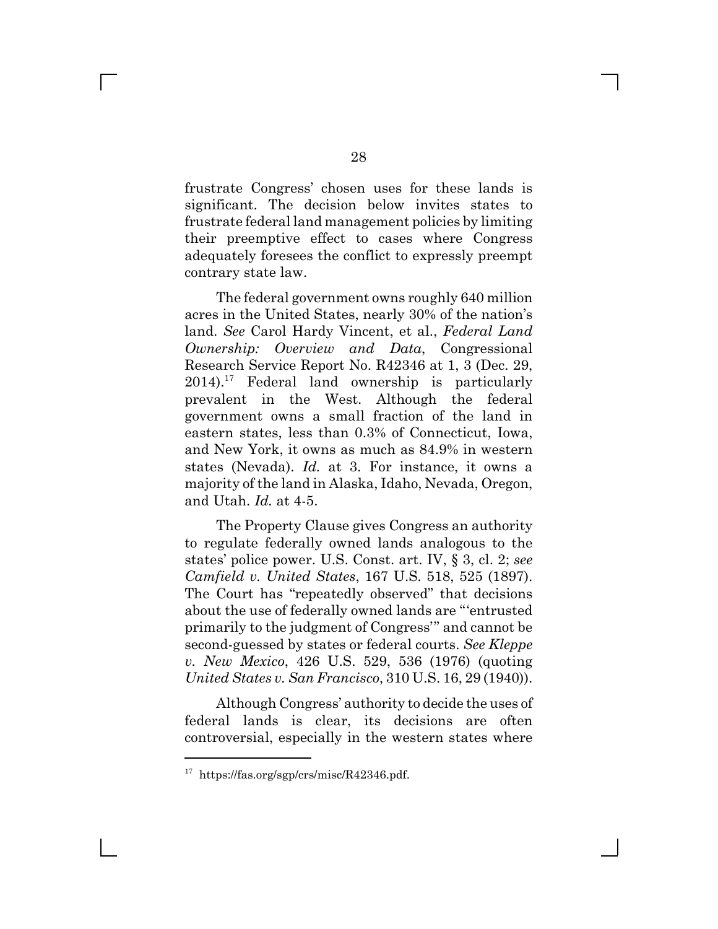frustrate Congress' chosen uses for these lands is significant. The decision below invites states to frustrate federal land management policies by limiting their preemptive effect to cases where Congress adequately foresees the conflict to expressly preempt contrary state law.

The federal government owns roughly 640 million acres in the United States, nearly 30% of the nation's land. *See* Carol Hardy Vincent, et al., *Federal Land Ownership: Overview and Data*, Congressional Research Service Report No. R42346 at 1, 3 (Dec. 29,  $2014$ <sup>17</sup> Federal land ownership is particularly prevalent in the West. Although the federal government owns a small fraction of the land in eastern states, less than 0.3% of Connecticut, Iowa, and New York, it owns as much as 84.9% in western states (Nevada). *Id.* at 3. For instance, it owns a majority of the land in Alaska, Idaho, Nevada, Oregon, and Utah. *Id.* at 4-5.

The Property Clause gives Congress an authority to regulate federally owned lands analogous to the states' police power. U.S. Const. art. IV, § 3, cl. 2; *see Camfield v. United States*, 167 U.S. 518, 525 (1897). The Court has "repeatedly observed" that decisions about the use of federally owned lands are "'entrusted primarily to the judgment of Congress'" and cannot be second-guessed by states or federal courts. *See Kleppe v. New Mexico*, 426 U.S. 529, 536 (1976) (quoting *United States v. San Francisco*, 310 U.S. 16, 29 (1940)).

Although Congress' authority to decide the uses of federal lands is clear, its decisions are often controversial, especially in the western states where

<sup>&</sup>lt;sup>17</sup> https://fas.org/sgp/crs/misc/R42346.pdf.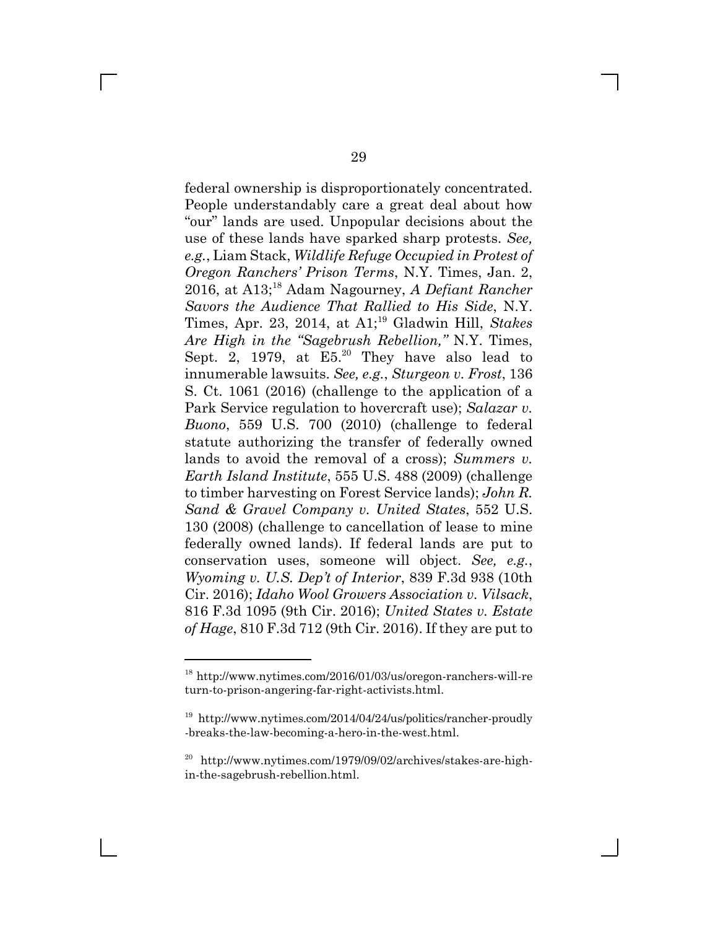federal ownership is disproportionately concentrated. People understandably care a great deal about how "our" lands are used. Unpopular decisions about the use of these lands have sparked sharp protests. *See, e.g.*, Liam Stack, *Wildlife Refuge Occupied in Protest of Oregon Ranchers' Prison Terms*, N.Y. Times, Jan. 2, 2016, at A13;18 Adam Nagourney, *A Defiant Rancher Savors the Audience That Rallied to His Side*, N.Y. Times, Apr. 23, 2014, at A1;19 Gladwin Hill, *Stakes Are High in the "Sagebrush Rebellion,"* N.Y. Times, Sept. 2, 1979, at  $E5.<sup>20</sup>$  They have also lead to innumerable lawsuits. *See, e.g.*, *Sturgeon v. Frost*, 136 S. Ct. 1061 (2016) (challenge to the application of a Park Service regulation to hovercraft use); *Salazar v. Buono*, 559 U.S. 700 (2010) (challenge to federal statute authorizing the transfer of federally owned lands to avoid the removal of a cross); *Summers v. Earth Island Institute*, 555 U.S. 488 (2009) (challenge to timber harvesting on Forest Service lands); *John R. Sand & Gravel Company v. United States*, 552 U.S. 130 (2008) (challenge to cancellation of lease to mine federally owned lands). If federal lands are put to conservation uses, someone will object. *See, e.g.*, *Wyoming v. U.S. Dep't of Interior*, 839 F.3d 938 (10th Cir. 2016); *Idaho Wool Growers Association v. Vilsack*, 816 F.3d 1095 (9th Cir. 2016); *United States v. Estate of Hage*, 810 F.3d 712 (9th Cir. 2016). If they are put to

<sup>18</sup> http://www.nytimes.com/2016/01/03/us/oregon-ranchers-will-re turn-to-prison-angering-far-right-activists.html.

<sup>&</sup>lt;sup>19</sup> http://www.nytimes.com/2014/04/24/us/politics/rancher-proudly -breaks-the-law-becoming-a-hero-in-the-west.html.

<sup>20</sup> http://www.nytimes.com/1979/09/02/archives/stakes-are-highin-the-sagebrush-rebellion.html.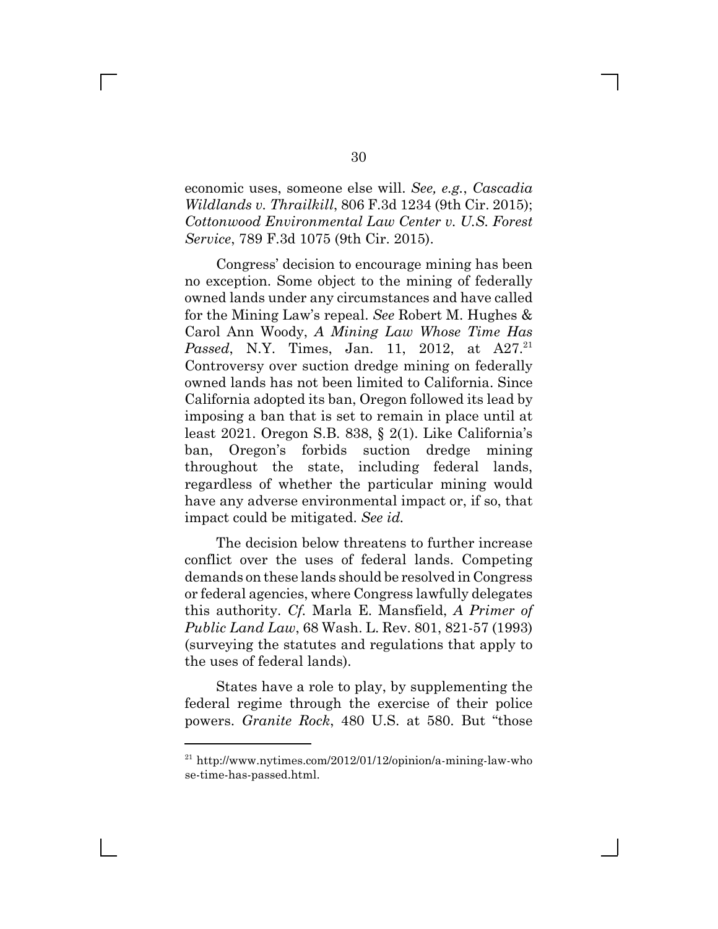economic uses, someone else will. *See, e.g.*, *Cascadia Wildlands v. Thrailkill*, 806 F.3d 1234 (9th Cir. 2015); *Cottonwood Environmental Law Center v. U.S. Forest Service*, 789 F.3d 1075 (9th Cir. 2015).

Congress' decision to encourage mining has been no exception. Some object to the mining of federally owned lands under any circumstances and have called for the Mining Law's repeal. *See* Robert M. Hughes & Carol Ann Woody, *A Mining Law Whose Time Has Passed*, N.Y. Times, Jan. 11, 2012, at A27.<sup>21</sup> Controversy over suction dredge mining on federally owned lands has not been limited to California. Since California adopted its ban, Oregon followed its lead by imposing a ban that is set to remain in place until at least 2021. Oregon S.B. 838, § 2(1). Like California's ban, Oregon's forbids suction dredge mining throughout the state, including federal lands, regardless of whether the particular mining would have any adverse environmental impact or, if so, that impact could be mitigated. *See id.*

The decision below threatens to further increase conflict over the uses of federal lands. Competing demands on these lands should be resolved in Congress or federal agencies, where Congress lawfully delegates this authority. *Cf.* Marla E. Mansfield, *A Primer of Public Land Law*, 68 Wash. L. Rev. 801, 821-57 (1993) (surveying the statutes and regulations that apply to the uses of federal lands).

States have a role to play, by supplementing the federal regime through the exercise of their police powers. *Granite Rock*, 480 U.S. at 580. But "those

 $^{21}$ http://www.nytimes.com/2012/01/12/opinion/a-mining-law-who se-time-has-passed.html.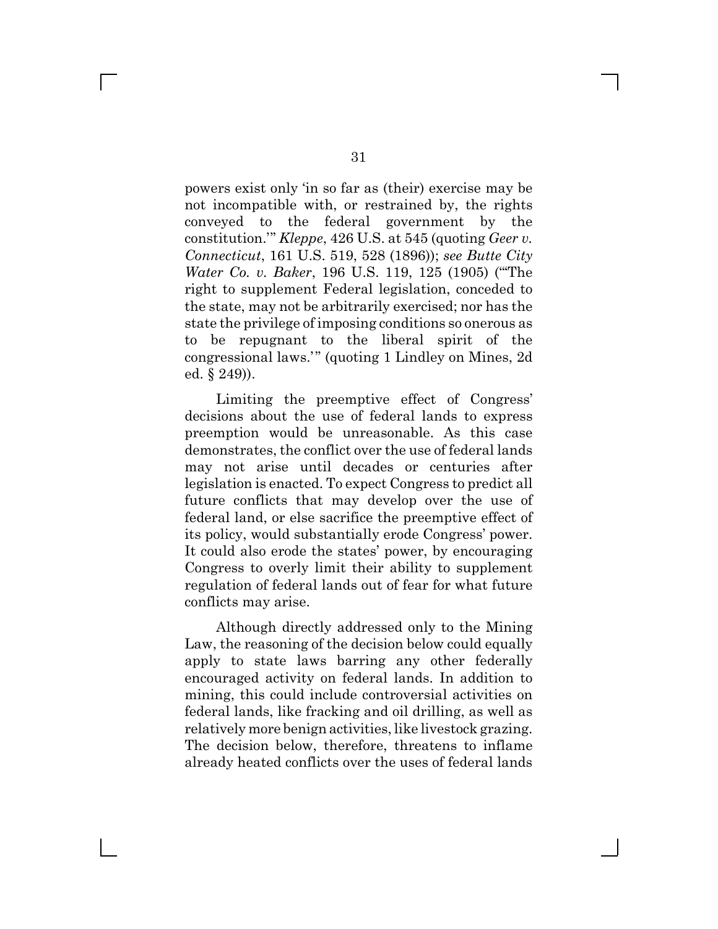powers exist only 'in so far as (their) exercise may be not incompatible with, or restrained by, the rights conveyed to the federal government by the constitution.'" *Kleppe*, 426 U.S. at 545 (quoting *Geer v. Connecticut*, 161 U.S. 519, 528 (1896)); *see Butte City Water Co. v. Baker*, 196 U.S. 119, 125 (1905) ("'The right to supplement Federal legislation, conceded to the state, may not be arbitrarily exercised; nor has the state the privilege of imposing conditions so onerous as to be repugnant to the liberal spirit of the congressional laws.'" (quoting 1 Lindley on Mines, 2d ed. § 249)).

Limiting the preemptive effect of Congress' decisions about the use of federal lands to express preemption would be unreasonable. As this case demonstrates, the conflict over the use of federal lands may not arise until decades or centuries after legislation is enacted. To expect Congress to predict all future conflicts that may develop over the use of federal land, or else sacrifice the preemptive effect of its policy, would substantially erode Congress' power. It could also erode the states' power, by encouraging Congress to overly limit their ability to supplement regulation of federal lands out of fear for what future conflicts may arise.

Although directly addressed only to the Mining Law, the reasoning of the decision below could equally apply to state laws barring any other federally encouraged activity on federal lands. In addition to mining, this could include controversial activities on federal lands, like fracking and oil drilling, as well as relatively more benign activities, like livestock grazing. The decision below, therefore, threatens to inflame already heated conflicts over the uses of federal lands